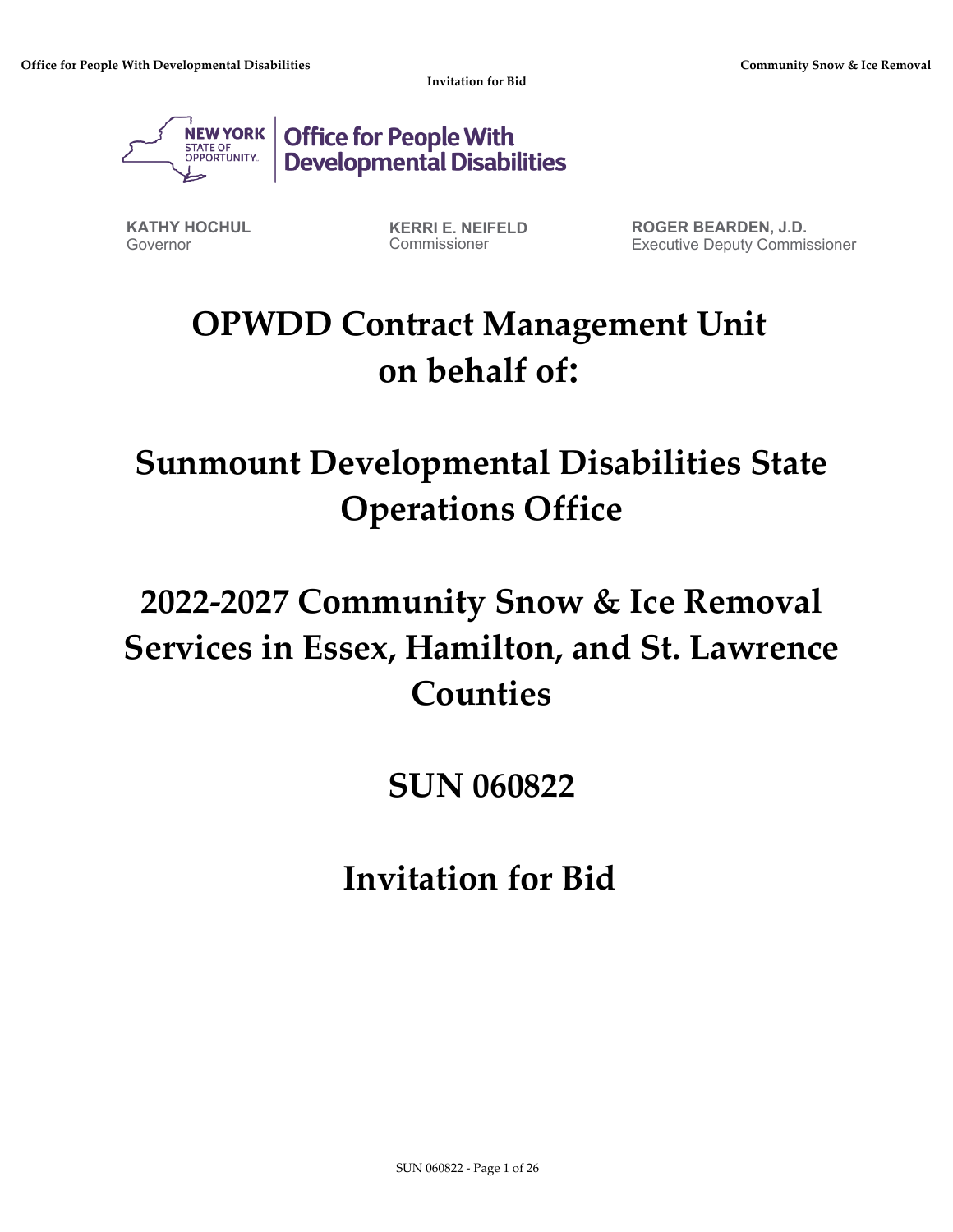

**Office for People With Developmental Disabilities** 

**KATHY HOCHUL** Governor

**KERRI E. NEIFELD** Commissioner

**ROGER BEARDEN, J.D.** Executive Deputy Commissioner

# **OPWDD Contract Management Unit on behalf of:**

**Sunmount Developmental Disabilities State Operations Office** 

# **2022-2027 Community Snow & Ice Removal Services in Essex, Hamilton, and St. Lawrence Counties**

# **SUN 060822**

**Invitation for Bid**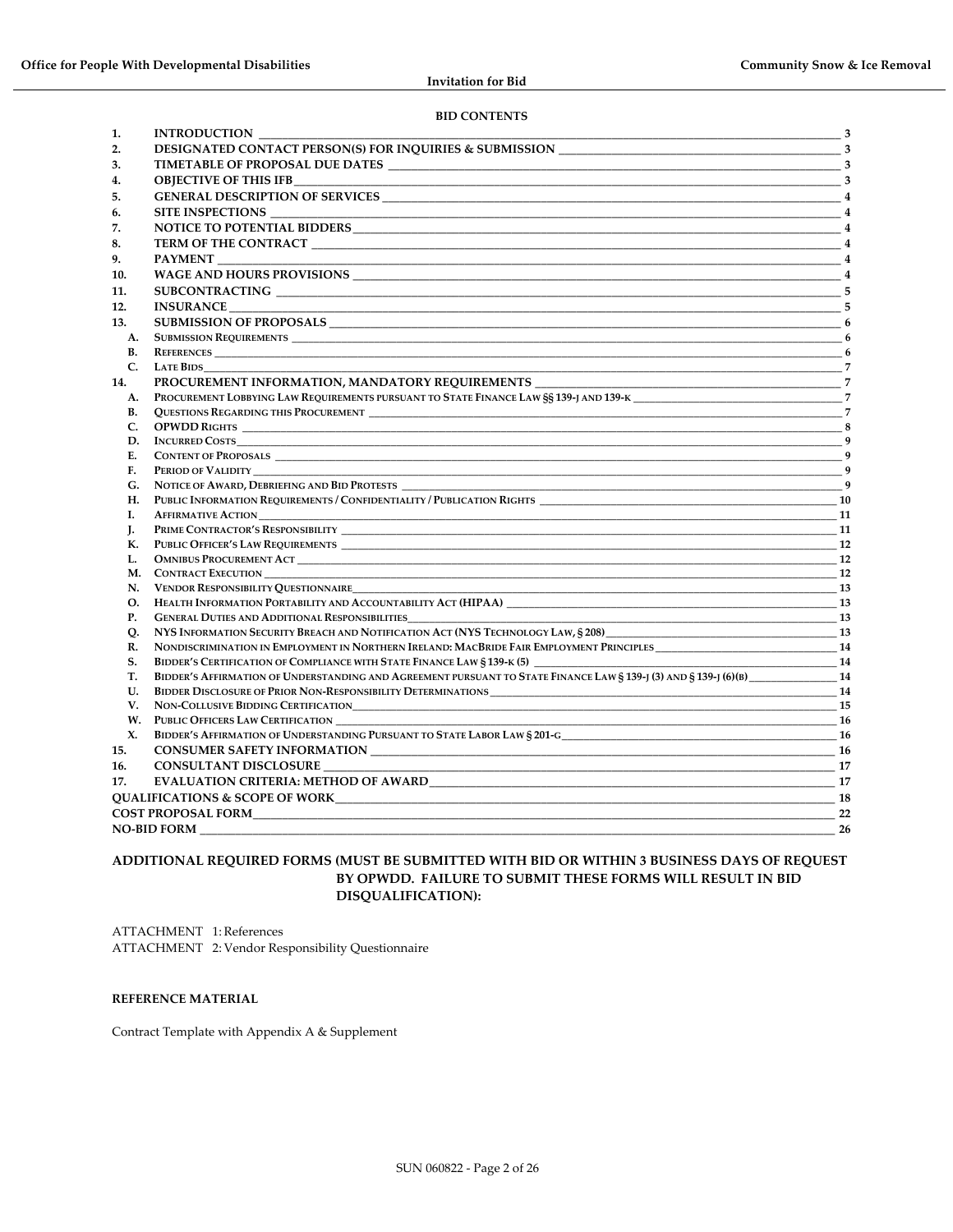#### **BID CONTENTS**

| 1.         | <b>INTRODUCTION</b>                                                                                                                   |                                                            |  |  |  |  |
|------------|---------------------------------------------------------------------------------------------------------------------------------------|------------------------------------------------------------|--|--|--|--|
| 2.         |                                                                                                                                       |                                                            |  |  |  |  |
| 3.         |                                                                                                                                       |                                                            |  |  |  |  |
| 4.         | <b>OBJECTIVE OF THIS IFB</b><br>$\sim$ 3                                                                                              |                                                            |  |  |  |  |
| 5.         |                                                                                                                                       |                                                            |  |  |  |  |
| 6.         | SITE INSPECTIONS<br>and the control of the control of the control of the control of the control of the control of the control of the  | $\overline{4}$                                             |  |  |  |  |
| 7.         |                                                                                                                                       |                                                            |  |  |  |  |
| 8.         | TERM OF THE CONTRACT 4                                                                                                                |                                                            |  |  |  |  |
| 9.         | <b>PAYMENT</b>                                                                                                                        | $\overline{4}$                                             |  |  |  |  |
| 10.        |                                                                                                                                       | $\frac{1}{\sqrt{1-\frac{1}{2}}}\left(1-\frac{1}{2}\right)$ |  |  |  |  |
| 11.        |                                                                                                                                       |                                                            |  |  |  |  |
| 12.        |                                                                                                                                       | -5                                                         |  |  |  |  |
| 13.        |                                                                                                                                       |                                                            |  |  |  |  |
|            | A. SUBMISSION REQUIREMENTS                                                                                                            |                                                            |  |  |  |  |
| В.         | <b>REFERENCES</b>                                                                                                                     |                                                            |  |  |  |  |
| C.         | $\overline{\phantom{a}}$ 6<br><b>LATE BIDS</b>                                                                                        |                                                            |  |  |  |  |
| 14.        |                                                                                                                                       |                                                            |  |  |  |  |
| A.         | PROCUREMENT LOBBYING LAW REQUIREMENTS PURSUANT TO STATE FINANCE LAW SS 139-J AND 139-K 7                                              |                                                            |  |  |  |  |
| В.         |                                                                                                                                       |                                                            |  |  |  |  |
| C.         |                                                                                                                                       |                                                            |  |  |  |  |
| D.         |                                                                                                                                       |                                                            |  |  |  |  |
| E.         |                                                                                                                                       |                                                            |  |  |  |  |
| F.         |                                                                                                                                       |                                                            |  |  |  |  |
| G.         |                                                                                                                                       |                                                            |  |  |  |  |
| H.         |                                                                                                                                       |                                                            |  |  |  |  |
| I.         |                                                                                                                                       |                                                            |  |  |  |  |
| J.         |                                                                                                                                       |                                                            |  |  |  |  |
| К.         |                                                                                                                                       | <b>12</b>                                                  |  |  |  |  |
| L.         |                                                                                                                                       | 12                                                         |  |  |  |  |
|            |                                                                                                                                       | <b>12</b>                                                  |  |  |  |  |
|            | N. VENDOR RESPONSIBILITY QUESTIONNAIRE <sup>13</sup>                                                                                  |                                                            |  |  |  |  |
| $\Omega$ . | HEALTH INFORMATION PORTABILITY AND ACCOUNTABILITY ACT (HIPAA) 73                                                                      |                                                            |  |  |  |  |
| <b>P.</b>  | <b>GENERAL DUTIES AND ADDITIONAL RESPONSIBILITIES</b><br><u>13</u>                                                                    |                                                            |  |  |  |  |
| O.         |                                                                                                                                       |                                                            |  |  |  |  |
| R.         | NONDISCRIMINATION IN EMPLOYMENT IN NORTHERN IRELAND: MACBRIDE FAIR EMPLOYMENT PRINCIPLES_____________________________14               |                                                            |  |  |  |  |
| S.         | BIDDER'S CERTIFICATION OF COMPLIANCE WITH STATE FINANCE LAW § 139-K (5) 2008 2009 14 214                                              |                                                            |  |  |  |  |
| T.         | BIDDER'S AFFIRMATION OF UNDERSTANDING AND AGREEMENT PURSUANT TO STATE FINANCE LAW § 139-J (3) AND § 139-J (6)(B) _________________ 14 |                                                            |  |  |  |  |
| U.         |                                                                                                                                       | <b>14</b>                                                  |  |  |  |  |
| V.         |                                                                                                                                       | 15                                                         |  |  |  |  |
| W.         | PUBLIC OFFICERS LAW CERTIFICATION                                                                                                     |                                                            |  |  |  |  |
| X.         |                                                                                                                                       |                                                            |  |  |  |  |
| 15.        |                                                                                                                                       |                                                            |  |  |  |  |
| 16.        | CONSULTANT DISCLOSURE                                                                                                                 |                                                            |  |  |  |  |
| 17.        | EVALUATION CRITERIA: METHOD OF AWARD EXAMPLE THE SERVICE OF A SERVICE OF A SERVICE OF A SERVICE OF A SERVICE O                        | 17                                                         |  |  |  |  |
|            | <b>OUALIFICATIONS &amp; SCOPE OF WORK</b><br>$\sim$ 18                                                                                |                                                            |  |  |  |  |
|            | <b>COST PROPOSAL FORM</b>                                                                                                             | 22                                                         |  |  |  |  |
|            | <b>NO-BID FORM</b>                                                                                                                    | 26                                                         |  |  |  |  |

#### **ADDITIONAL REQUIRED FORMS (MUST BE SUBMITTED WITH BID OR WITHIN 3 BUSINESS DAYS OF REQUEST BY OPWDD. FAILURE TO SUBMIT THESE FORMS WILL RESULT IN BID DISQUALIFICATION):**

ATTACHMENT 1: References ATTACHMENT 2: Vendor Responsibility Questionnaire

#### **REFERENCE MATERIAL**

Contract Template with Appendix A & Supplement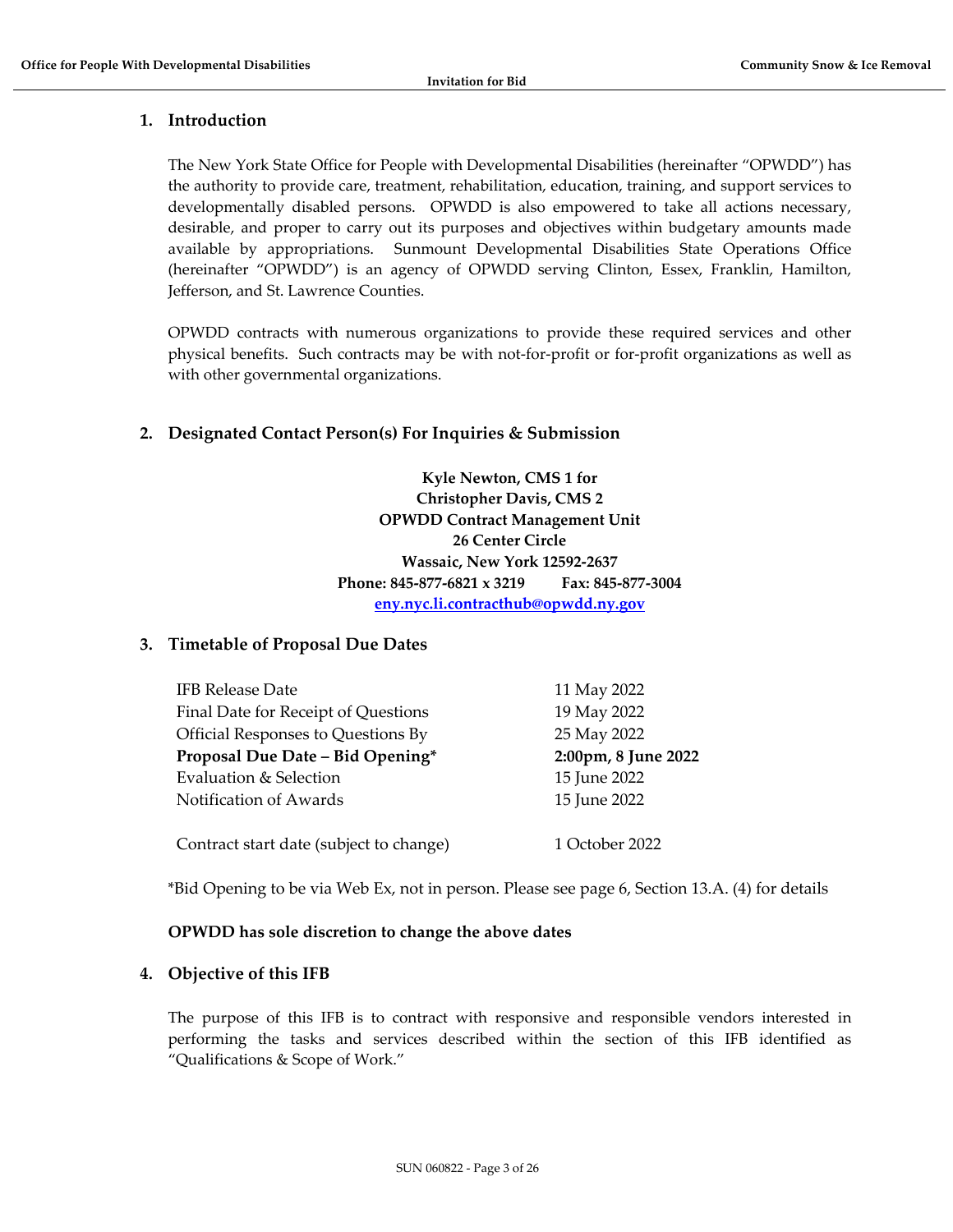# <span id="page-2-0"></span>**1. Introduction**

The New York State Office for People with Developmental Disabilities (hereinafter "OPWDD") has the authority to provide care, treatment, rehabilitation, education, training, and support services to developmentally disabled persons. OPWDD is also empowered to take all actions necessary, desirable, and proper to carry out its purposes and objectives within budgetary amounts made available by appropriations. Sunmount Developmental Disabilities State Operations Office (hereinafter "OPWDD") is an agency of OPWDD serving Clinton, Essex, Franklin, Hamilton, Jefferson, and St. Lawrence Counties.

OPWDD contracts with numerous organizations to provide these required services and other physical benefits. Such contracts may be with not-for-profit or for-profit organizations as well as with other governmental organizations.

# <span id="page-2-1"></span>**2. Designated Contact Person(s) For Inquiries & Submission**

**Kyle Newton, CMS 1 for Christopher Davis, CMS 2 OPWDD Contract Management Unit 26 Center Circle Wassaic, New York 12592-2637 Phone: 845-877-6821 x 3219 Fax: 845-877-3004 [eny.nyc.li.contracthub@opwdd.ny.gov](mailto:eny.nyc.li.contracthub@opwdd.ny.gov)**

# <span id="page-2-2"></span>**3. Timetable of Proposal Due Dates**

| <b>IFB Release Date</b>                 | 11 May 2022         |
|-----------------------------------------|---------------------|
| Final Date for Receipt of Questions     | 19 May 2022         |
| Official Responses to Questions By      | 25 May 2022         |
| Proposal Due Date - Bid Opening*        | 2:00pm, 8 June 2022 |
| Evaluation & Selection                  | 15 June 2022        |
| Notification of Awards                  | 15 June 2022        |
|                                         |                     |
| Contract start date (subject to change) | 1 October 2022      |

\*Bid Opening to be via Web Ex, not in person. Please see page 6, Section 13.A. (4) for details

# **OPWDD has sole discretion to change the above dates**

# <span id="page-2-3"></span>**4. Objective of this IFB**

The purpose of this IFB is to contract with responsive and responsible vendors interested in performing the tasks and services described within the section of this IFB identified as "Qualifications & Scope of Work."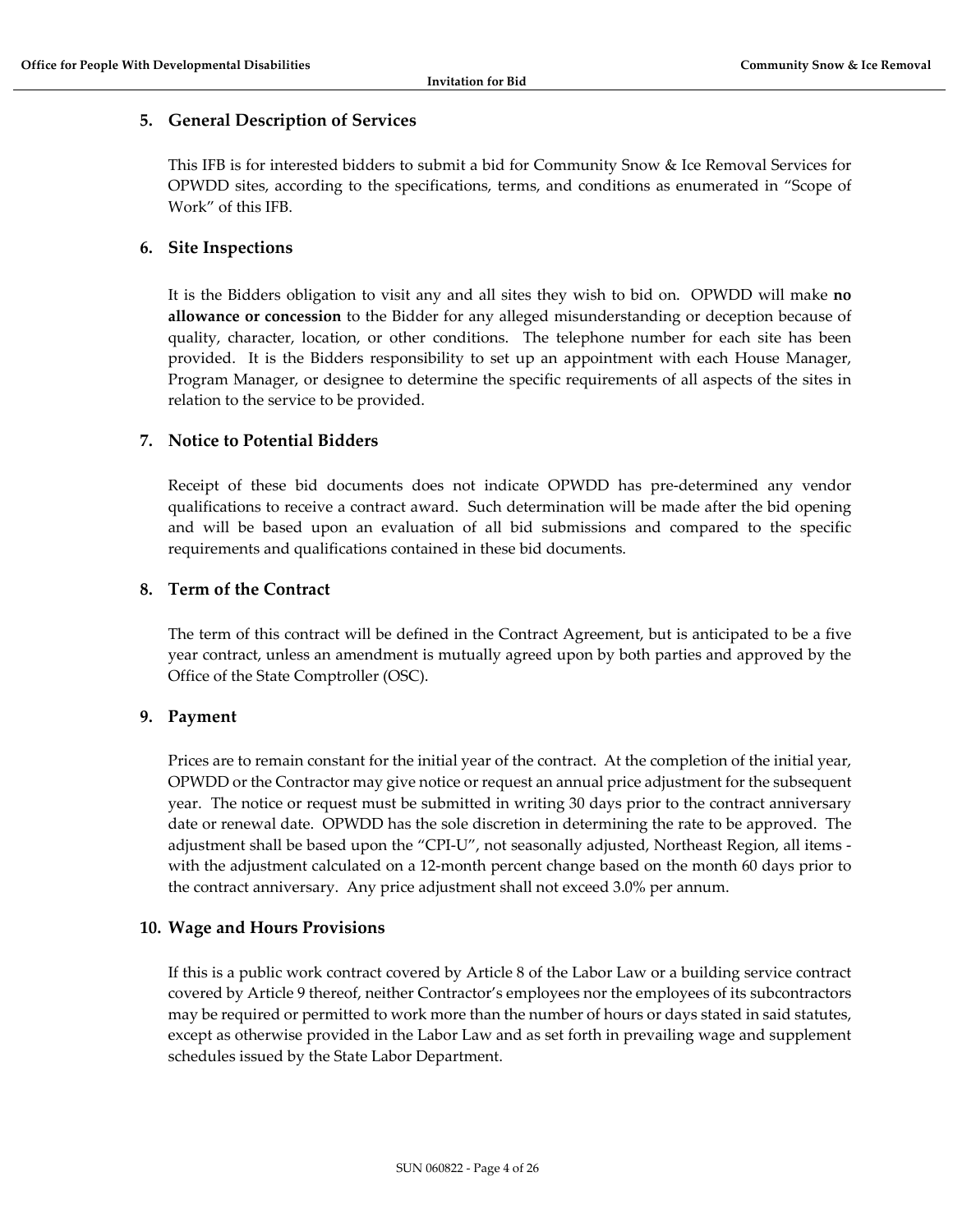# <span id="page-3-0"></span>**5. General Description of Services**

This IFB is for interested bidders to submit a bid for Community Snow & Ice Removal Services for OPWDD sites, according to the specifications, terms, and conditions as enumerated in "Scope of Work" of this IFB.

## <span id="page-3-1"></span>**6. Site Inspections**

It is the Bidders obligation to visit any and all sites they wish to bid on. OPWDD will make **no allowance or concession** to the Bidder for any alleged misunderstanding or deception because of quality, character, location, or other conditions. The telephone number for each site has been provided. It is the Bidders responsibility to set up an appointment with each House Manager, Program Manager, or designee to determine the specific requirements of all aspects of the sites in relation to the service to be provided.

# <span id="page-3-2"></span>**7. Notice to Potential Bidders**

Receipt of these bid documents does not indicate OPWDD has pre-determined any vendor qualifications to receive a contract award. Such determination will be made after the bid opening and will be based upon an evaluation of all bid submissions and compared to the specific requirements and qualifications contained in these bid documents.

# <span id="page-3-3"></span>**8. Term of the Contract**

The term of this contract will be defined in the Contract Agreement, but is anticipated to be a five year contract, unless an amendment is mutually agreed upon by both parties and approved by the Office of the State Comptroller (OSC).

# <span id="page-3-4"></span>**9. Payment**

Prices are to remain constant for the initial year of the contract. At the completion of the initial year, OPWDD or the Contractor may give notice or request an annual price adjustment for the subsequent year. The notice or request must be submitted in writing 30 days prior to the contract anniversary date or renewal date. OPWDD has the sole discretion in determining the rate to be approved. The adjustment shall be based upon the "CPI-U", not seasonally adjusted, Northeast Region, all items with the adjustment calculated on a 12-month percent change based on the month 60 days prior to the contract anniversary. Any price adjustment shall not exceed 3.0% per annum.

# <span id="page-3-5"></span>**10. Wage and Hours Provisions**

If this is a public work contract covered by Article 8 of the Labor Law or a building service contract covered by Article 9 thereof, neither Contractor's employees nor the employees of its subcontractors may be required or permitted to work more than the number of hours or days stated in said statutes, except as otherwise provided in the Labor Law and as set forth in prevailing wage and supplement schedules issued by the State Labor Department.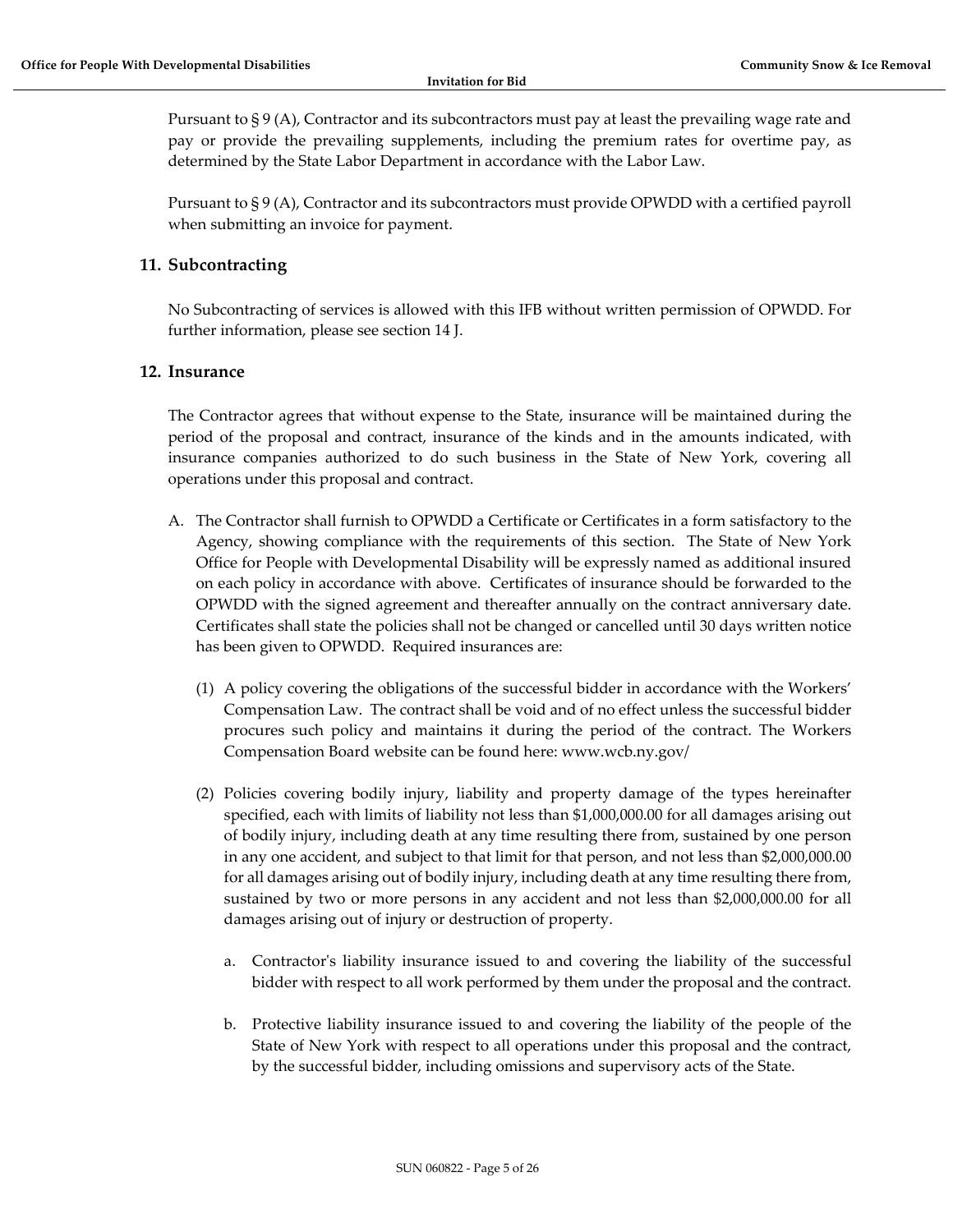Pursuant to § 9 (A), Contractor and its subcontractors must pay at least the prevailing wage rate and pay or provide the prevailing supplements, including the premium rates for overtime pay, as determined by the State Labor Department in accordance with the Labor Law.

Pursuant to § 9 (A), Contractor and its subcontractors must provide OPWDD with a certified payroll when submitting an invoice for payment.

# <span id="page-4-0"></span>**11. Subcontracting**

No Subcontracting of services is allowed with this IFB without written permission of OPWDD. For further information, please see section 14 J.

## <span id="page-4-1"></span>**12. Insurance**

The Contractor agrees that without expense to the State, insurance will be maintained during the period of the proposal and contract, insurance of the kinds and in the amounts indicated, with insurance companies authorized to do such business in the State of New York, covering all operations under this proposal and contract.

- A. The Contractor shall furnish to OPWDD a Certificate or Certificates in a form satisfactory to the Agency, showing compliance with the requirements of this section. The State of New York Office for People with Developmental Disability will be expressly named as additional insured on each policy in accordance with above. Certificates of insurance should be forwarded to the OPWDD with the signed agreement and thereafter annually on the contract anniversary date. Certificates shall state the policies shall not be changed or cancelled until 30 days written notice has been given to OPWDD. Required insurances are:
	- (1) A policy covering the obligations of the successful bidder in accordance with the Workers' Compensation Law. The contract shall be void and of no effect unless the successful bidder procures such policy and maintains it during the period of the contract. The Workers Compensation Board website can be found here: www.wcb.ny.gov/
	- (2) Policies covering bodily injury, liability and property damage of the types hereinafter specified, each with limits of liability not less than \$1,000,000.00 for all damages arising out of bodily injury, including death at any time resulting there from, sustained by one person in any one accident, and subject to that limit for that person, and not less than \$2,000,000.00 for all damages arising out of bodily injury, including death at any time resulting there from, sustained by two or more persons in any accident and not less than \$2,000,000.00 for all damages arising out of injury or destruction of property.
		- a. Contractor's liability insurance issued to and covering the liability of the successful bidder with respect to all work performed by them under the proposal and the contract.
		- b. Protective liability insurance issued to and covering the liability of the people of the State of New York with respect to all operations under this proposal and the contract, by the successful bidder, including omissions and supervisory acts of the State.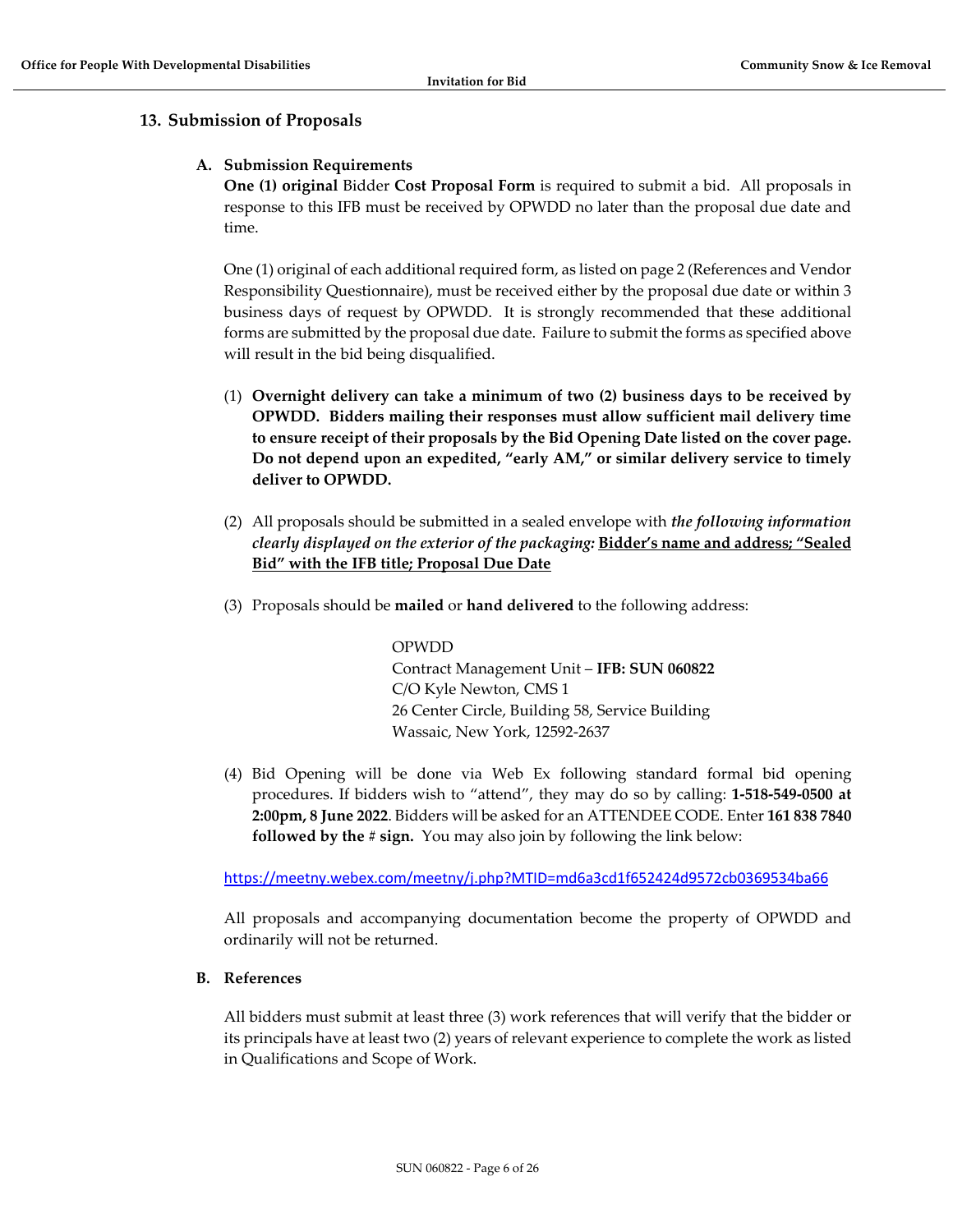# <span id="page-5-1"></span><span id="page-5-0"></span>**13. Submission of Proposals**

## **A. Submission Requirements**

**One (1) original** Bidder **Cost Proposal Form** is required to submit a bid. All proposals in response to this IFB must be received by OPWDD no later than the proposal due date and time.

One (1) original of each additional required form, as listed on page 2 (References and Vendor Responsibility Questionnaire), must be received either by the proposal due date or within 3 business days of request by OPWDD. It is strongly recommended that these additional forms are submitted by the proposal due date. Failure to submit the forms as specified above will result in the bid being disqualified.

- (1) **Overnight delivery can take a minimum of two (2) business days to be received by OPWDD. Bidders mailing their responses must allow sufficient mail delivery time to ensure receipt of their proposals by the Bid Opening Date listed on the cover page. Do not depend upon an expedited, "early AM," or similar delivery service to timely deliver to OPWDD.**
- (2) All proposals should be submitted in a sealed envelope with *the following information clearly displayed on the exterior of the packaging:* **Bidder's name and address; "Sealed Bid" with the IFB title; Proposal Due Date**
- (3) Proposals should be **mailed** or **hand delivered** to the following address:

#### OPWDD

Contract Management Unit – **IFB: SUN 060822** C/O Kyle Newton, CMS 1 26 Center Circle, Building 58, Service Building Wassaic, New York, 12592-2637

(4) Bid Opening will be done via Web Ex following standard formal bid opening procedures. If bidders wish to "attend", they may do so by calling: **1-518-549-0500 at 2:00pm, 8 June 2022**. Bidders will be asked for an ATTENDEE CODE. Enter **161 838 7840 followed by the # sign.** You may also join by following the link below:

<https://meetny.webex.com/meetny/j.php?MTID=md6a3cd1f652424d9572cb0369534ba66>

All proposals and accompanying documentation become the property of OPWDD and ordinarily will not be returned.

#### <span id="page-5-2"></span>**B. References**

All bidders must submit at least three (3) work references that will verify that the bidder or its principals have at least two (2) years of relevant experience to complete the work as listed in Qualifications and Scope of Work.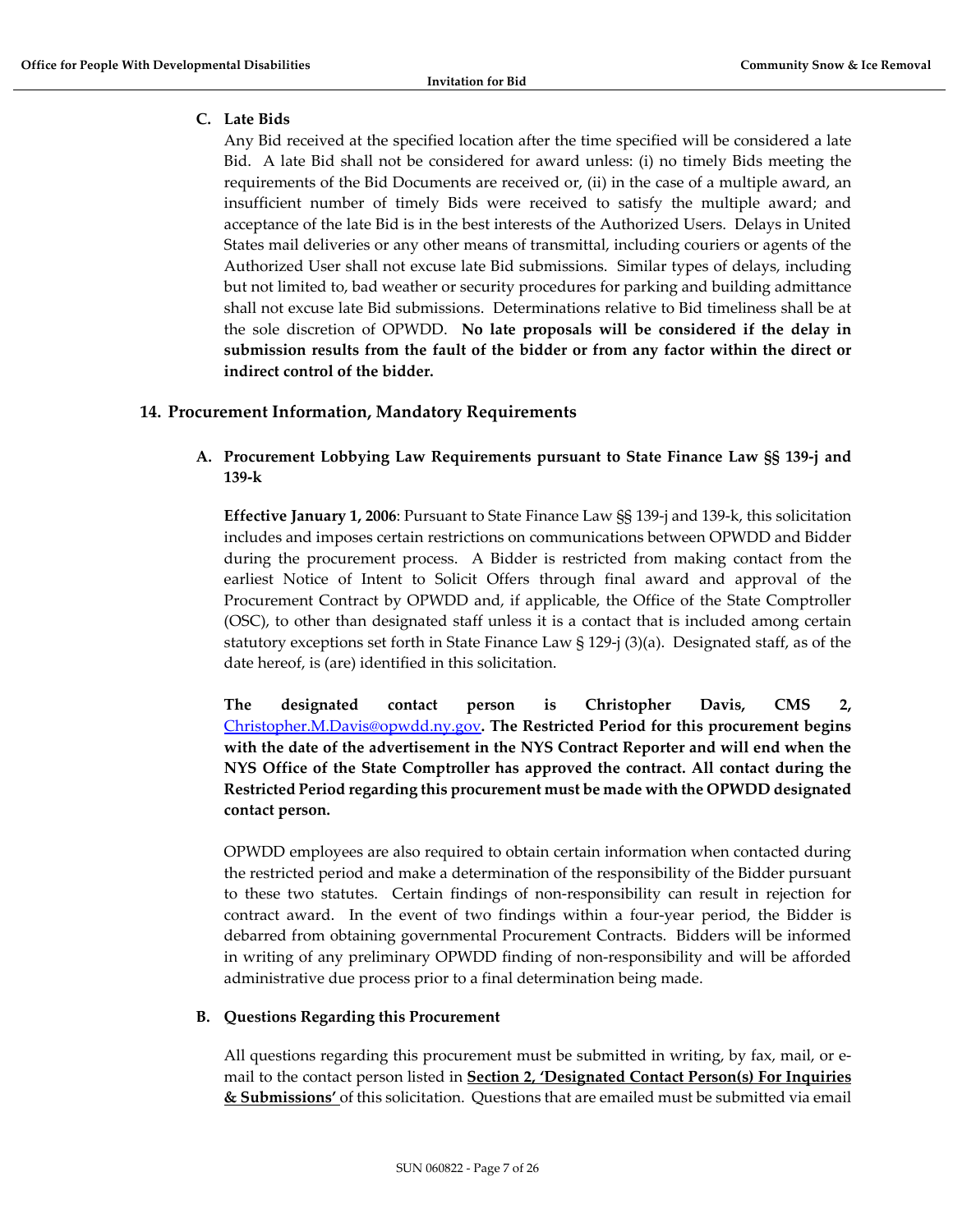# <span id="page-6-0"></span>**C. Late Bids**

Any Bid received at the specified location after the time specified will be considered a late Bid. A late Bid shall not be considered for award unless: (i) no timely Bids meeting the requirements of the Bid Documents are received or, (ii) in the case of a multiple award, an insufficient number of timely Bids were received to satisfy the multiple award; and acceptance of the late Bid is in the best interests of the Authorized Users. Delays in United States mail deliveries or any other means of transmittal, including couriers or agents of the Authorized User shall not excuse late Bid submissions. Similar types of delays, including but not limited to, bad weather or security procedures for parking and building admittance shall not excuse late Bid submissions. Determinations relative to Bid timeliness shall be at the sole discretion of OPWDD. **No late proposals will be considered if the delay in submission results from the fault of the bidder or from any factor within the direct or indirect control of the bidder.**

# <span id="page-6-2"></span><span id="page-6-1"></span>**14. Procurement Information, Mandatory Requirements**

# **A. Procurement Lobbying Law Requirements pursuant to State Finance Law §§ 139-j and 139-k**

**Effective January 1, 2006**: Pursuant to State Finance Law §§ 139-j and 139-k, this solicitation includes and imposes certain restrictions on communications between OPWDD and Bidder during the procurement process. A Bidder is restricted from making contact from the earliest Notice of Intent to Solicit Offers through final award and approval of the Procurement Contract by OPWDD and, if applicable, the Office of the State Comptroller (OSC), to other than designated staff unless it is a contact that is included among certain statutory exceptions set forth in State Finance Law § 129-j (3)(a). Designated staff, as of the date hereof, is (are) identified in this solicitation.

**The designated contact person is Christopher Davis, CMS 2[,](mailto:%20Christopher.M.Davis@opwdd.ny.gov)** [Christopher.M.Davis@opwdd.ny.gov](mailto:%20Christopher.M.Davis@opwdd.ny.gov)**. The Restricted Period for this procurement begins with the date of the advertisement in the NYS Contract Reporter and will end when the NYS Office of the State Comptroller has approved the contract. All contact during the Restricted Period regarding this procurement must be made with the OPWDD designated contact person.** 

OPWDD employees are also required to obtain certain information when contacted during the restricted period and make a determination of the responsibility of the Bidder pursuant to these two statutes. Certain findings of non-responsibility can result in rejection for contract award. In the event of two findings within a four-year period, the Bidder is debarred from obtaining governmental Procurement Contracts. Bidders will be informed in writing of any preliminary OPWDD finding of non-responsibility and will be afforded administrative due process prior to a final determination being made.

#### <span id="page-6-3"></span>**B. Questions Regarding this Procurement**

All questions regarding this procurement must be submitted in writing, by fax, mail, or email to the contact person listed in **Section 2, 'Designated Contact Person(s) For Inquiries & Submissions'** of this solicitation. Questions that are emailed must be submitted via email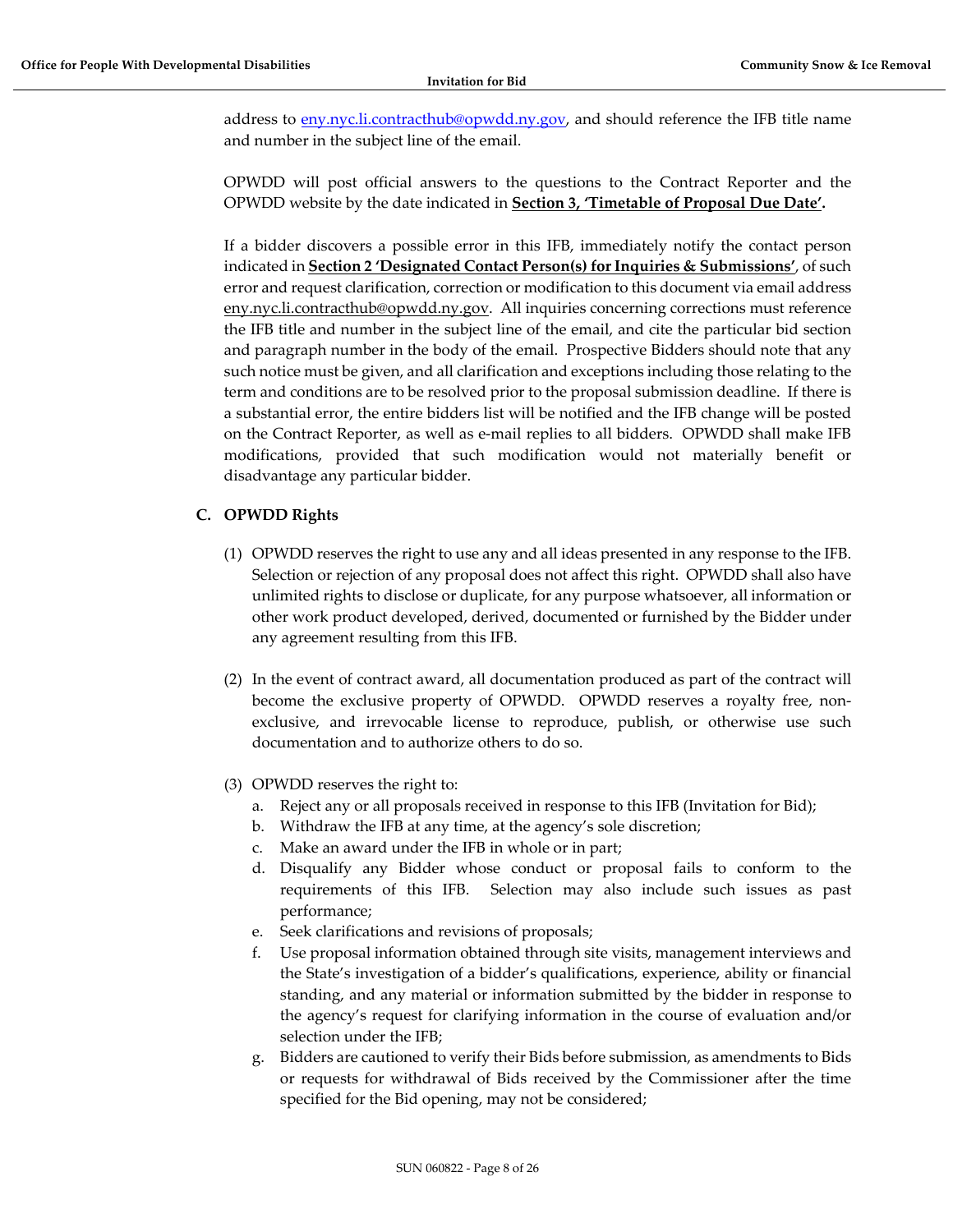address to [eny.nyc.li.contracthub@opwdd.ny.gov,](mailto:eny.nyc.li.contracthub@opwdd.ny.gov) and should reference the IFB title name and number in the subject line of the email.

OPWDD will post official answers to the questions to the Contract Reporter and the OPWDD website by the date indicated in **Section 3, 'Timetable of Proposal Due Date'.**

If a bidder discovers a possible error in this IFB, immediately notify the contact person indicated in **Section 2 'Designated Contact Person(s) for Inquiries & Submissions'**, of such error and request clarification, correction or modification to this document via email address eny.nyc.li.contracthub@opwdd.ny.gov. All inquiries concerning corrections must reference the IFB title and number in the subject line of the email, and cite the particular bid section and paragraph number in the body of the email. Prospective Bidders should note that any such notice must be given, and all clarification and exceptions including those relating to the term and conditions are to be resolved prior to the proposal submission deadline. If there is a substantial error, the entire bidders list will be notified and the IFB change will be posted on the Contract Reporter, as well as e-mail replies to all bidders. OPWDD shall make IFB modifications, provided that such modification would not materially benefit or disadvantage any particular bidder.

# <span id="page-7-0"></span>**C. OPWDD Rights**

- (1) OPWDD reserves the right to use any and all ideas presented in any response to the IFB. Selection or rejection of any proposal does not affect this right. OPWDD shall also have unlimited rights to disclose or duplicate, for any purpose whatsoever, all information or other work product developed, derived, documented or furnished by the Bidder under any agreement resulting from this IFB.
- (2) In the event of contract award, all documentation produced as part of the contract will become the exclusive property of OPWDD. OPWDD reserves a royalty free, nonexclusive, and irrevocable license to reproduce, publish, or otherwise use such documentation and to authorize others to do so.
- (3) OPWDD reserves the right to:
	- a. Reject any or all proposals received in response to this IFB (Invitation for Bid);
	- b. Withdraw the IFB at any time, at the agency's sole discretion;
	- c. Make an award under the IFB in whole or in part;
	- d. Disqualify any Bidder whose conduct or proposal fails to conform to the requirements of this IFB. Selection may also include such issues as past performance;
	- e. Seek clarifications and revisions of proposals;
	- f. Use proposal information obtained through site visits, management interviews and the State's investigation of a bidder's qualifications, experience, ability or financial standing, and any material or information submitted by the bidder in response to the agency's request for clarifying information in the course of evaluation and/or selection under the IFB;
	- g. Bidders are cautioned to verify their Bids before submission, as amendments to Bids or requests for withdrawal of Bids received by the Commissioner after the time specified for the Bid opening, may not be considered;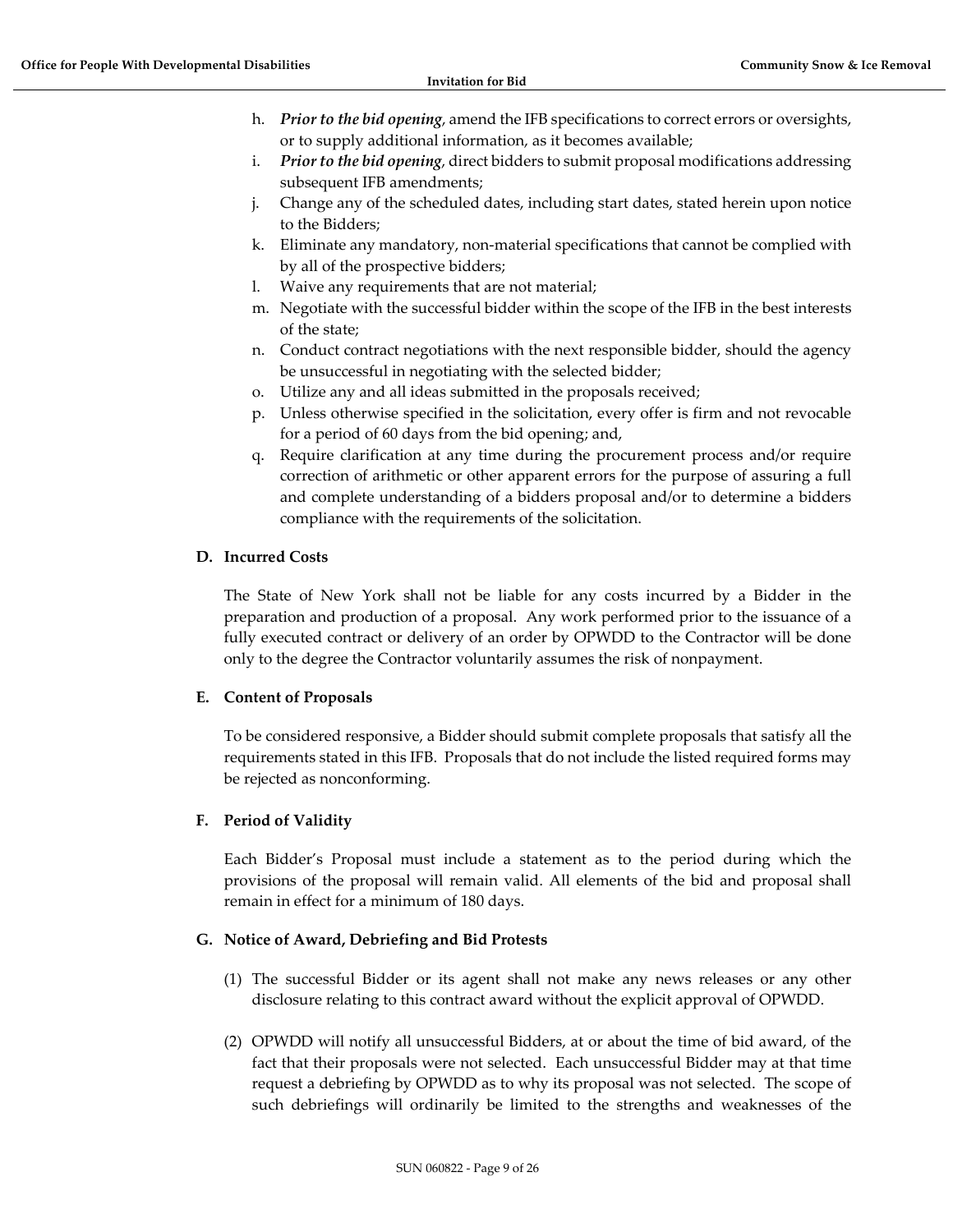- h. *Prior to the bid opening*, amend the IFB specifications to correct errors or oversights, or to supply additional information, as it becomes available;
- i. *Prior to the bid opening*, direct bidders to submit proposal modifications addressing subsequent IFB amendments;
- j. Change any of the scheduled dates, including start dates, stated herein upon notice to the Bidders;
- k. Eliminate any mandatory, non-material specifications that cannot be complied with by all of the prospective bidders;
- l. Waive any requirements that are not material;
- m. Negotiate with the successful bidder within the scope of the IFB in the best interests of the state;
- n. Conduct contract negotiations with the next responsible bidder, should the agency be unsuccessful in negotiating with the selected bidder;
- o. Utilize any and all ideas submitted in the proposals received;
- p. Unless otherwise specified in the solicitation, every offer is firm and not revocable for a period of 60 days from the bid opening; and,
- q. Require clarification at any time during the procurement process and/or require correction of arithmetic or other apparent errors for the purpose of assuring a full and complete understanding of a bidders proposal and/or to determine a bidders compliance with the requirements of the solicitation.

### <span id="page-8-0"></span>**D. Incurred Costs**

The State of New York shall not be liable for any costs incurred by a Bidder in the preparation and production of a proposal. Any work performed prior to the issuance of a fully executed contract or delivery of an order by OPWDD to the Contractor will be done only to the degree the Contractor voluntarily assumes the risk of nonpayment.

#### <span id="page-8-1"></span>**E. Content of Proposals**

To be considered responsive, a Bidder should submit complete proposals that satisfy all the requirements stated in this IFB. Proposals that do not include the listed required forms may be rejected as nonconforming.

# <span id="page-8-2"></span>**F. Period of Validity**

Each Bidder's Proposal must include a statement as to the period during which the provisions of the proposal will remain valid. All elements of the bid and proposal shall remain in effect for a minimum of 180 days.

#### <span id="page-8-3"></span>**G. Notice of Award, Debriefing and Bid Protests**

- (1) The successful Bidder or its agent shall not make any news releases or any other disclosure relating to this contract award without the explicit approval of OPWDD.
- (2) OPWDD will notify all unsuccessful Bidders, at or about the time of bid award, of the fact that their proposals were not selected. Each unsuccessful Bidder may at that time request a debriefing by OPWDD as to why its proposal was not selected. The scope of such debriefings will ordinarily be limited to the strengths and weaknesses of the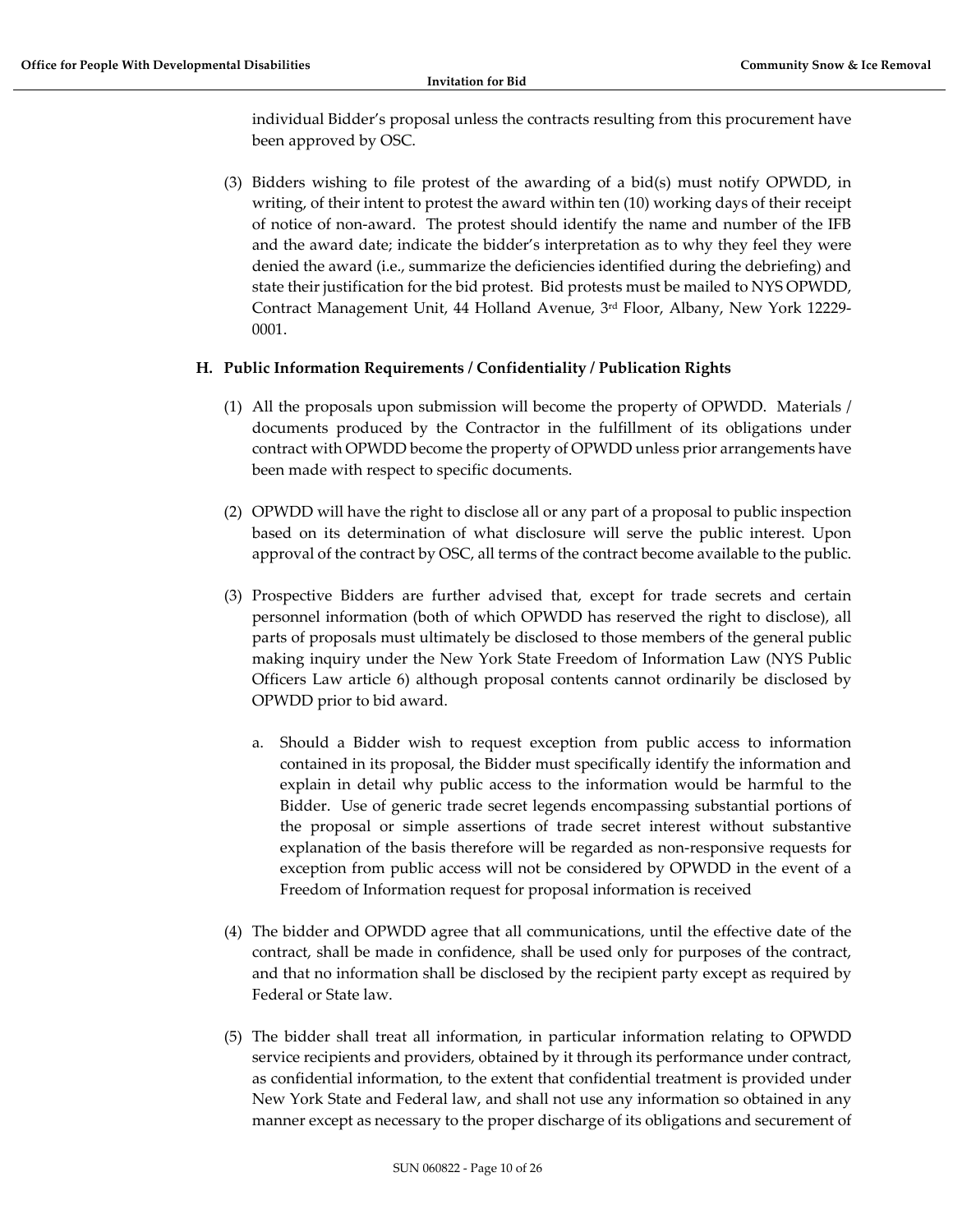individual Bidder's proposal unless the contracts resulting from this procurement have been approved by OSC.

(3) Bidders wishing to file protest of the awarding of a bid(s) must notify OPWDD, in writing, of their intent to protest the award within ten (10) working days of their receipt of notice of non-award. The protest should identify the name and number of the IFB and the award date; indicate the bidder's interpretation as to why they feel they were denied the award (i.e., summarize the deficiencies identified during the debriefing) and state their justification for the bid protest. Bid protests must be mailed to NYS OPWDD, Contract Management Unit, 44 Holland Avenue, 3rd Floor, Albany, New York 12229- 0001.

# <span id="page-9-0"></span>**H. Public Information Requirements / Confidentiality / Publication Rights**

- (1) All the proposals upon submission will become the property of OPWDD. Materials / documents produced by the Contractor in the fulfillment of its obligations under contract with OPWDD become the property of OPWDD unless prior arrangements have been made with respect to specific documents.
- (2) OPWDD will have the right to disclose all or any part of a proposal to public inspection based on its determination of what disclosure will serve the public interest. Upon approval of the contract by OSC, all terms of the contract become available to the public.
- (3) Prospective Bidders are further advised that, except for trade secrets and certain personnel information (both of which OPWDD has reserved the right to disclose), all parts of proposals must ultimately be disclosed to those members of the general public making inquiry under the New York State Freedom of Information Law (NYS Public Officers Law article 6) although proposal contents cannot ordinarily be disclosed by OPWDD prior to bid award.
	- a. Should a Bidder wish to request exception from public access to information contained in its proposal, the Bidder must specifically identify the information and explain in detail why public access to the information would be harmful to the Bidder. Use of generic trade secret legends encompassing substantial portions of the proposal or simple assertions of trade secret interest without substantive explanation of the basis therefore will be regarded as non-responsive requests for exception from public access will not be considered by OPWDD in the event of a Freedom of Information request for proposal information is received
- (4) The bidder and OPWDD agree that all communications, until the effective date of the contract, shall be made in confidence, shall be used only for purposes of the contract, and that no information shall be disclosed by the recipient party except as required by Federal or State law.
- (5) The bidder shall treat all information, in particular information relating to OPWDD service recipients and providers, obtained by it through its performance under contract, as confidential information, to the extent that confidential treatment is provided under New York State and Federal law, and shall not use any information so obtained in any manner except as necessary to the proper discharge of its obligations and securement of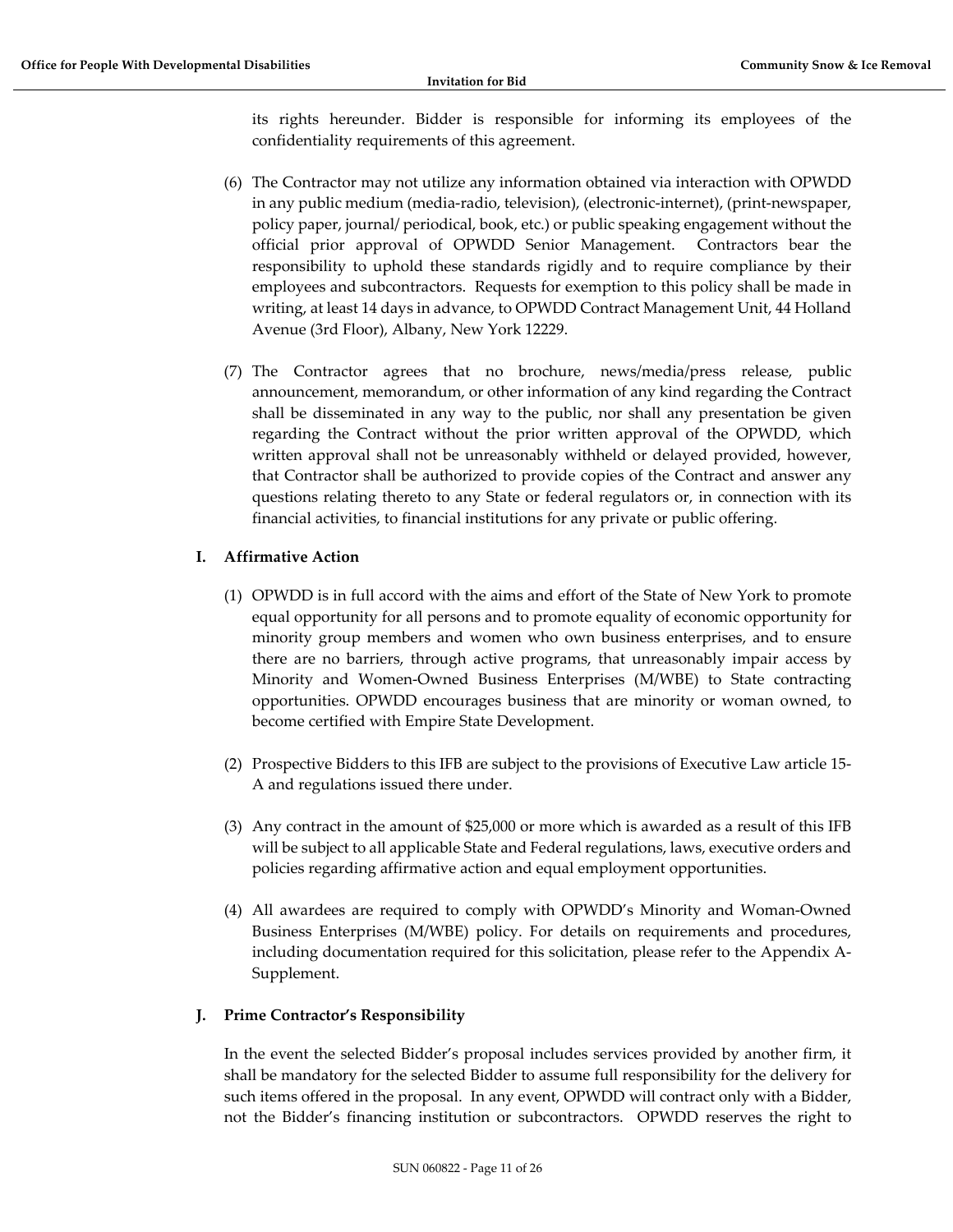its rights hereunder. Bidder is responsible for informing its employees of the confidentiality requirements of this agreement.

- (6) The Contractor may not utilize any information obtained via interaction with OPWDD in any public medium (media-radio, television), (electronic-internet), (print-newspaper, policy paper, journal/ periodical, book, etc.) or public speaking engagement without the official prior approval of OPWDD Senior Management. Contractors bear the responsibility to uphold these standards rigidly and to require compliance by their employees and subcontractors. Requests for exemption to this policy shall be made in writing, at least 14 days in advance, to OPWDD Contract Management Unit, 44 Holland Avenue (3rd Floor), Albany, New York 12229.
- (7) The Contractor agrees that no brochure, news/media/press release, public announcement, memorandum, or other information of any kind regarding the Contract shall be disseminated in any way to the public, nor shall any presentation be given regarding the Contract without the prior written approval of the OPWDD, which written approval shall not be unreasonably withheld or delayed provided, however, that Contractor shall be authorized to provide copies of the Contract and answer any questions relating thereto to any State or federal regulators or, in connection with its financial activities, to financial institutions for any private or public offering.

# <span id="page-10-0"></span>**I. Affirmative Action**

- (1) OPWDD is in full accord with the aims and effort of the State of New York to promote equal opportunity for all persons and to promote equality of economic opportunity for minority group members and women who own business enterprises, and to ensure there are no barriers, through active programs, that unreasonably impair access by Minority and Women-Owned Business Enterprises (M/WBE) to State contracting opportunities. OPWDD encourages business that are minority or woman owned, to become certified with Empire State Development.
- (2) Prospective Bidders to this IFB are subject to the provisions of Executive Law article 15- A and regulations issued there under.
- (3) Any contract in the amount of \$25,000 or more which is awarded as a result of this IFB will be subject to all applicable State and Federal regulations, laws, executive orders and policies regarding affirmative action and equal employment opportunities.
- (4) All awardees are required to comply with OPWDD's Minority and Woman-Owned Business Enterprises (M/WBE) policy. For details on requirements and procedures, including documentation required for this solicitation, please refer to the Appendix A-Supplement.

# <span id="page-10-1"></span>**J. Prime Contractor's Responsibility**

In the event the selected Bidder's proposal includes services provided by another firm, it shall be mandatory for the selected Bidder to assume full responsibility for the delivery for such items offered in the proposal. In any event, OPWDD will contract only with a Bidder, not the Bidder's financing institution or subcontractors. OPWDD reserves the right to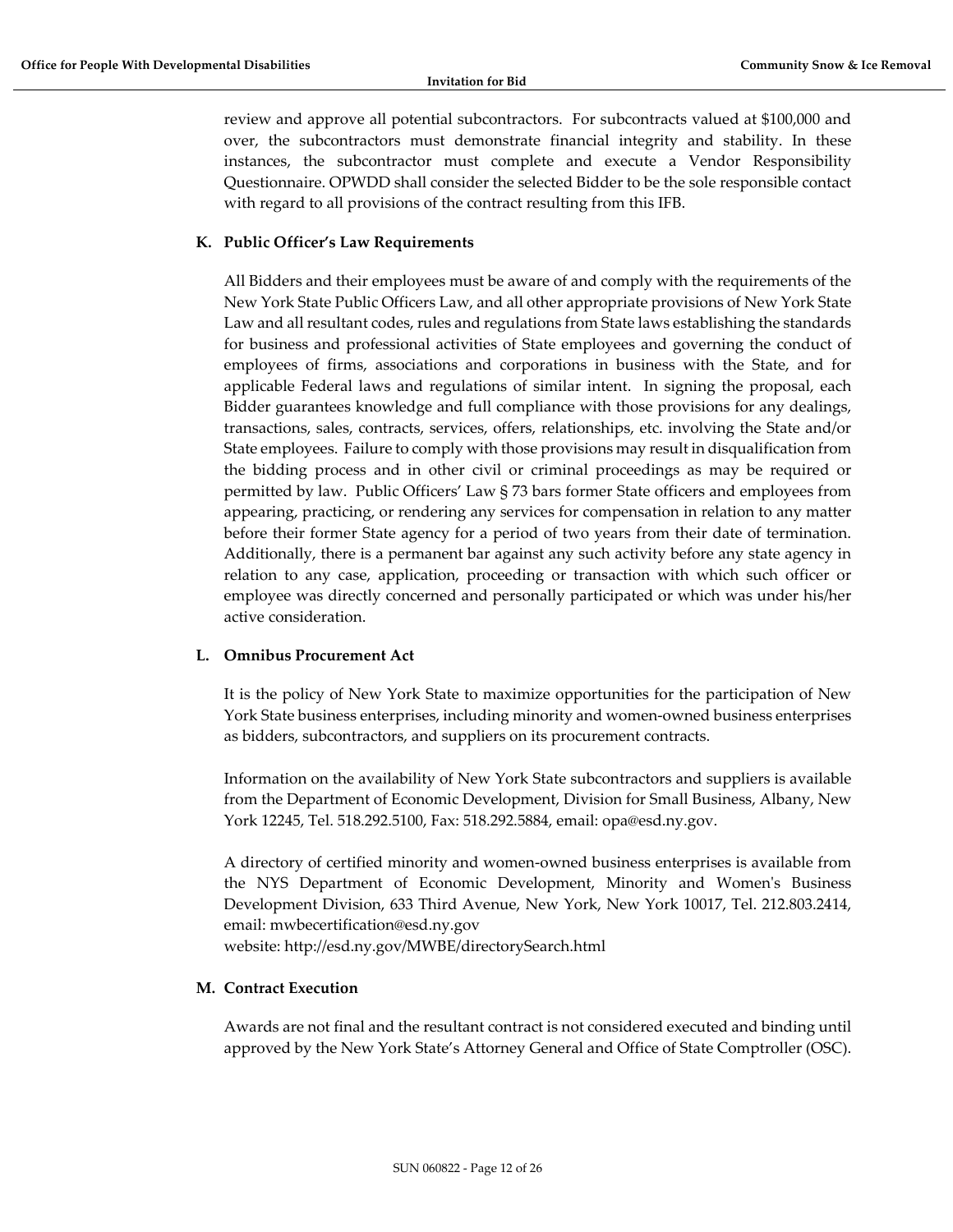review and approve all potential subcontractors. For subcontracts valued at \$100,000 and over, the subcontractors must demonstrate financial integrity and stability. In these instances, the subcontractor must complete and execute a Vendor Responsibility Questionnaire. OPWDD shall consider the selected Bidder to be the sole responsible contact with regard to all provisions of the contract resulting from this IFB.

#### <span id="page-11-0"></span>**K. Public Officer's Law Requirements**

All Bidders and their employees must be aware of and comply with the requirements of the New York State Public Officers Law, and all other appropriate provisions of New York State Law and all resultant codes, rules and regulations from State laws establishing the standards for business and professional activities of State employees and governing the conduct of employees of firms, associations and corporations in business with the State, and for applicable Federal laws and regulations of similar intent. In signing the proposal, each Bidder guarantees knowledge and full compliance with those provisions for any dealings, transactions, sales, contracts, services, offers, relationships, etc. involving the State and/or State employees. Failure to comply with those provisions may result in disqualification from the bidding process and in other civil or criminal proceedings as may be required or permitted by law. Public Officers' Law § 73 bars former State officers and employees from appearing, practicing, or rendering any services for compensation in relation to any matter before their former State agency for a period of two years from their date of termination. Additionally, there is a permanent bar against any such activity before any state agency in relation to any case, application, proceeding or transaction with which such officer or employee was directly concerned and personally participated or which was under his/her active consideration.

#### <span id="page-11-1"></span>**L. Omnibus Procurement Act**

It is the policy of New York State to maximize opportunities for the participation of New York State business enterprises, including minority and women-owned business enterprises as bidders, subcontractors, and suppliers on its procurement contracts.

Information on the availability of New York State subcontractors and suppliers is available from the Department of Economic Development, Division for Small Business, Albany, New York 12245, Tel. 518.292.5100, Fax: 518.292.5884, email: opa@esd.ny.gov.

A directory of certified minority and women-owned business enterprises is available from the NYS Department of Economic Development, Minority and Women's Business Development Division, 633 Third Avenue, New York, New York 10017, Tel. 212.803.2414, email: mwbecertification@esd.ny.gov

website: http://esd.ny.gov/MWBE/directorySearch.html

#### <span id="page-11-2"></span>**M. Contract Execution**

Awards are not final and the resultant contract is not considered executed and binding until approved by the New York State's Attorney General and Office of State Comptroller (OSC).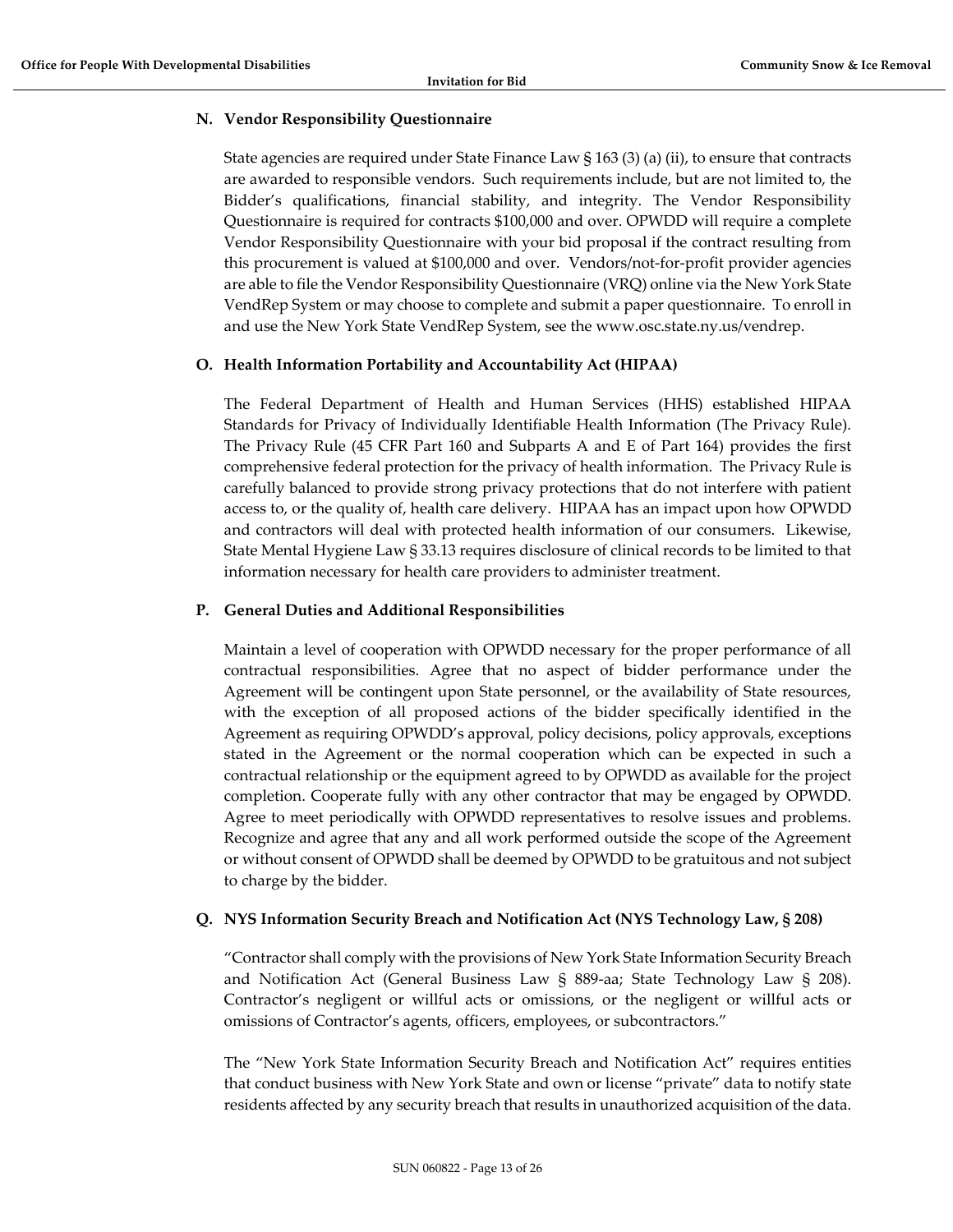### <span id="page-12-0"></span>**N. Vendor Responsibility Questionnaire**

State agencies are required under State Finance Law § 163 (3) (a) (ii), to ensure that contracts are awarded to responsible vendors. Such requirements include, but are not limited to, the Bidder's qualifications, financial stability, and integrity. The Vendor Responsibility Questionnaire is required for contracts \$100,000 and over. OPWDD will require a complete Vendor Responsibility Questionnaire with your bid proposal if the contract resulting from this procurement is valued at \$100,000 and over. Vendors/not-for-profit provider agencies are able to file the Vendor Responsibility Questionnaire (VRQ) online via the New York State VendRep System or may choose to complete and submit a paper questionnaire. To enroll in and use the New York State VendRep System, see the www.osc.state.ny.us/vendrep.

# <span id="page-12-1"></span>**O. Health Information Portability and Accountability Act (HIPAA)**

The Federal Department of Health and Human Services (HHS) established HIPAA Standards for Privacy of Individually Identifiable Health Information (The Privacy Rule). The Privacy Rule (45 CFR Part 160 and Subparts A and E of Part 164) provides the first comprehensive federal protection for the privacy of health information. The Privacy Rule is carefully balanced to provide strong privacy protections that do not interfere with patient access to, or the quality of, health care delivery. HIPAA has an impact upon how OPWDD and contractors will deal with protected health information of our consumers. Likewise, State Mental Hygiene Law § 33.13 requires disclosure of clinical records to be limited to that information necessary for health care providers to administer treatment.

### <span id="page-12-2"></span>**P. General Duties and Additional Responsibilities**

Maintain a level of cooperation with OPWDD necessary for the proper performance of all contractual responsibilities. Agree that no aspect of bidder performance under the Agreement will be contingent upon State personnel, or the availability of State resources, with the exception of all proposed actions of the bidder specifically identified in the Agreement as requiring OPWDD's approval, policy decisions, policy approvals, exceptions stated in the Agreement or the normal cooperation which can be expected in such a contractual relationship or the equipment agreed to by OPWDD as available for the project completion. Cooperate fully with any other contractor that may be engaged by OPWDD. Agree to meet periodically with OPWDD representatives to resolve issues and problems. Recognize and agree that any and all work performed outside the scope of the Agreement or without consent of OPWDD shall be deemed by OPWDD to be gratuitous and not subject to charge by the bidder.

#### <span id="page-12-3"></span>**Q. NYS Information Security Breach and Notification Act (NYS Technology Law, § 208)**

"Contractor shall comply with the provisions of New York State Information Security Breach and Notification Act (General Business Law § 889-aa; State Technology Law § 208). Contractor's negligent or willful acts or omissions, or the negligent or willful acts or omissions of Contractor's agents, officers, employees, or subcontractors."

The "New York State Information Security Breach and Notification Act" requires entities that conduct business with New York State and own or license "private" data to notify state residents affected by any security breach that results in unauthorized acquisition of the data.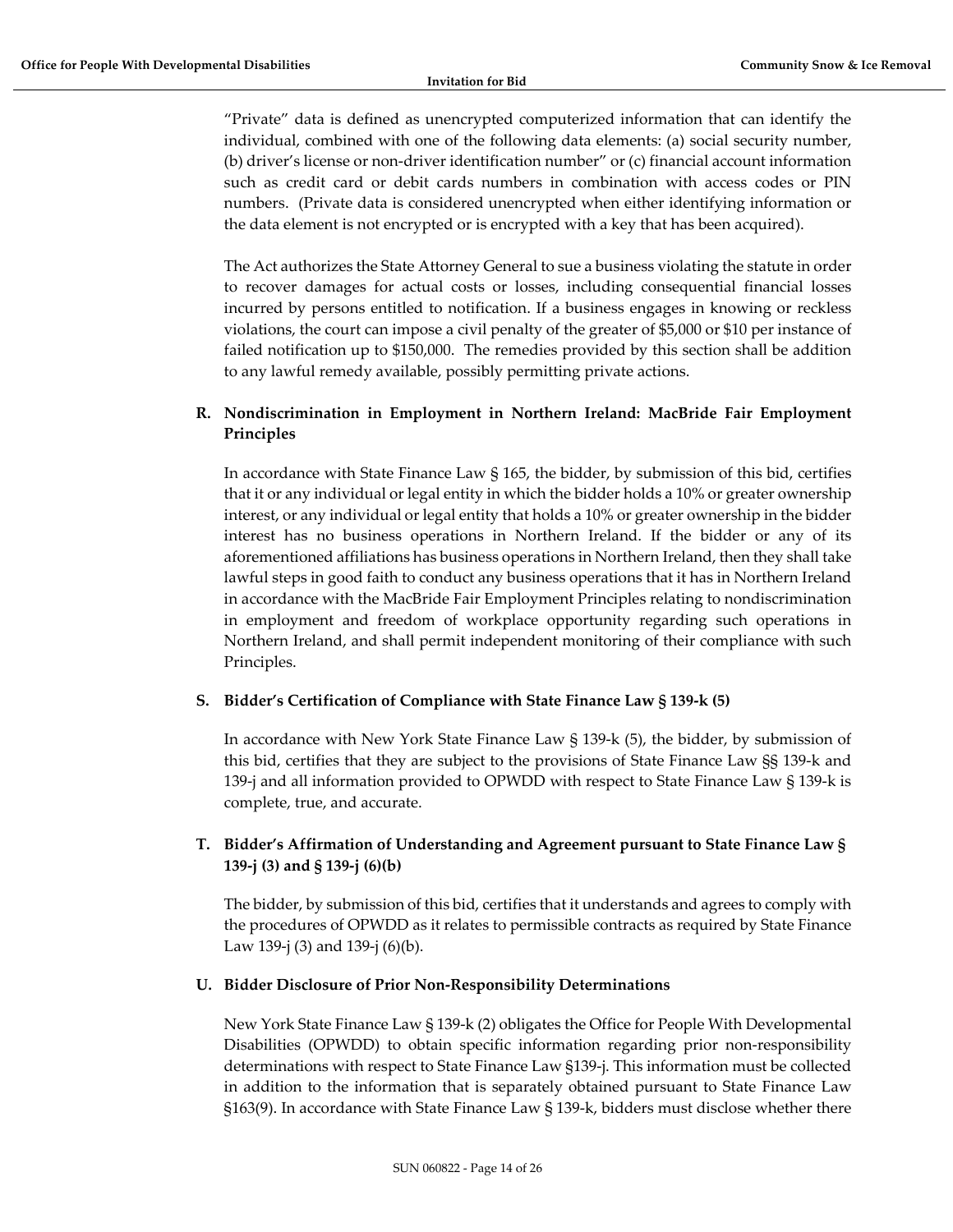"Private" data is defined as unencrypted computerized information that can identify the individual, combined with one of the following data elements: (a) social security number, (b) driver's license or non-driver identification number" or (c) financial account information such as credit card or debit cards numbers in combination with access codes or PIN numbers. (Private data is considered unencrypted when either identifying information or the data element is not encrypted or is encrypted with a key that has been acquired).

The Act authorizes the State Attorney General to sue a business violating the statute in order to recover damages for actual costs or losses, including consequential financial losses incurred by persons entitled to notification. If a business engages in knowing or reckless violations, the court can impose a civil penalty of the greater of \$5,000 or \$10 per instance of failed notification up to \$150,000. The remedies provided by this section shall be addition to any lawful remedy available, possibly permitting private actions.

# <span id="page-13-0"></span>**R. Nondiscrimination in Employment in Northern Ireland: MacBride Fair Employment Principles**

In accordance with State Finance Law § 165, the bidder, by submission of this bid, certifies that it or any individual or legal entity in which the bidder holds a 10% or greater ownership interest, or any individual or legal entity that holds a 10% or greater ownership in the bidder interest has no business operations in Northern Ireland. If the bidder or any of its aforementioned affiliations has business operations in Northern Ireland, then they shall take lawful steps in good faith to conduct any business operations that it has in Northern Ireland in accordance with the MacBride Fair Employment Principles relating to nondiscrimination in employment and freedom of workplace opportunity regarding such operations in Northern Ireland, and shall permit independent monitoring of their compliance with such Principles.

# <span id="page-13-1"></span>**S. Bidder's Certification of Compliance with State Finance Law § 139-k (5)**

In accordance with New York State Finance Law § 139-k (5), the bidder, by submission of this bid, certifies that they are subject to the provisions of State Finance Law §§ 139-k and 139-j and all information provided to OPWDD with respect to State Finance Law § 139-k is complete, true, and accurate.

# <span id="page-13-2"></span>**T. Bidder's Affirmation of Understanding and Agreement pursuant to State Finance Law § 139-j (3) and § 139-j (6)(b)**

The bidder, by submission of this bid, certifies that it understands and agrees to comply with the procedures of OPWDD as it relates to permissible contracts as required by State Finance Law 139-j (3) and 139-j (6)(b).

# <span id="page-13-3"></span>**U. Bidder Disclosure of Prior Non-Responsibility Determinations**

New York State Finance Law § 139-k (2) obligates the Office for People With Developmental Disabilities (OPWDD) to obtain specific information regarding prior non-responsibility determinations with respect to State Finance Law §139-j. This information must be collected in addition to the information that is separately obtained pursuant to State Finance Law §163(9). In accordance with State Finance Law § 139-k, bidders must disclose whether there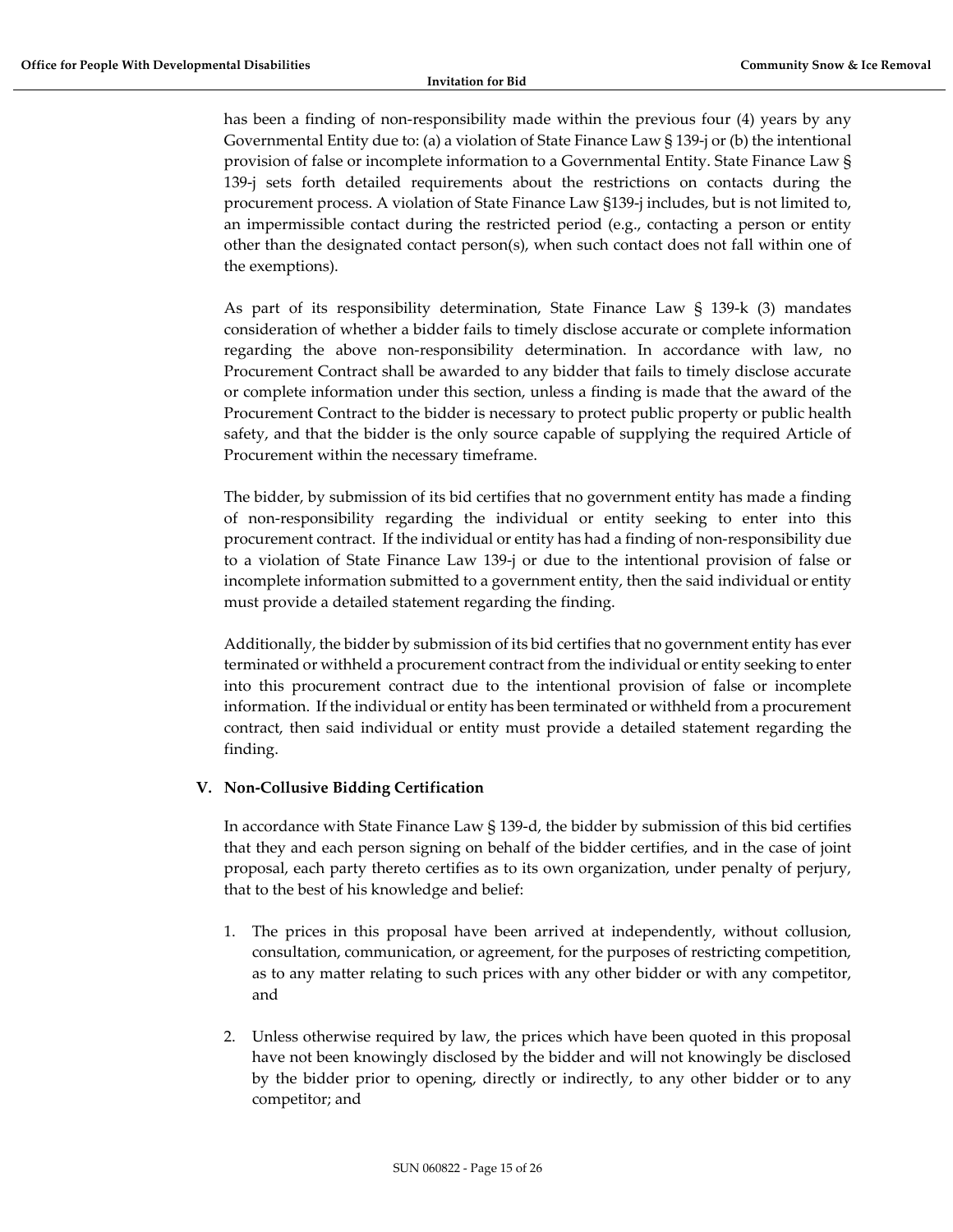has been a finding of non-responsibility made within the previous four (4) years by any Governmental Entity due to: (a) a violation of State Finance Law § 139-j or (b) the intentional provision of false or incomplete information to a Governmental Entity. State Finance Law § 139-j sets forth detailed requirements about the restrictions on contacts during the procurement process. A violation of State Finance Law §139-j includes, but is not limited to, an impermissible contact during the restricted period (e.g., contacting a person or entity other than the designated contact person(s), when such contact does not fall within one of the exemptions).

As part of its responsibility determination, State Finance Law § 139-k (3) mandates consideration of whether a bidder fails to timely disclose accurate or complete information regarding the above non-responsibility determination. In accordance with law, no Procurement Contract shall be awarded to any bidder that fails to timely disclose accurate or complete information under this section, unless a finding is made that the award of the Procurement Contract to the bidder is necessary to protect public property or public health safety, and that the bidder is the only source capable of supplying the required Article of Procurement within the necessary timeframe.

The bidder, by submission of its bid certifies that no government entity has made a finding of non-responsibility regarding the individual or entity seeking to enter into this procurement contract. If the individual or entity has had a finding of non-responsibility due to a violation of State Finance Law 139-j or due to the intentional provision of false or incomplete information submitted to a government entity, then the said individual or entity must provide a detailed statement regarding the finding.

Additionally, the bidder by submission of its bid certifies that no government entity has ever terminated or withheld a procurement contract from the individual or entity seeking to enter into this procurement contract due to the intentional provision of false or incomplete information. If the individual or entity has been terminated or withheld from a procurement contract, then said individual or entity must provide a detailed statement regarding the finding.

# <span id="page-14-0"></span>**V. Non-Collusive Bidding Certification**

In accordance with State Finance Law § 139-d, the bidder by submission of this bid certifies that they and each person signing on behalf of the bidder certifies, and in the case of joint proposal, each party thereto certifies as to its own organization, under penalty of perjury, that to the best of his knowledge and belief:

- 1. The prices in this proposal have been arrived at independently, without collusion, consultation, communication, or agreement, for the purposes of restricting competition, as to any matter relating to such prices with any other bidder or with any competitor, and
- 2. Unless otherwise required by law, the prices which have been quoted in this proposal have not been knowingly disclosed by the bidder and will not knowingly be disclosed by the bidder prior to opening, directly or indirectly, to any other bidder or to any competitor; and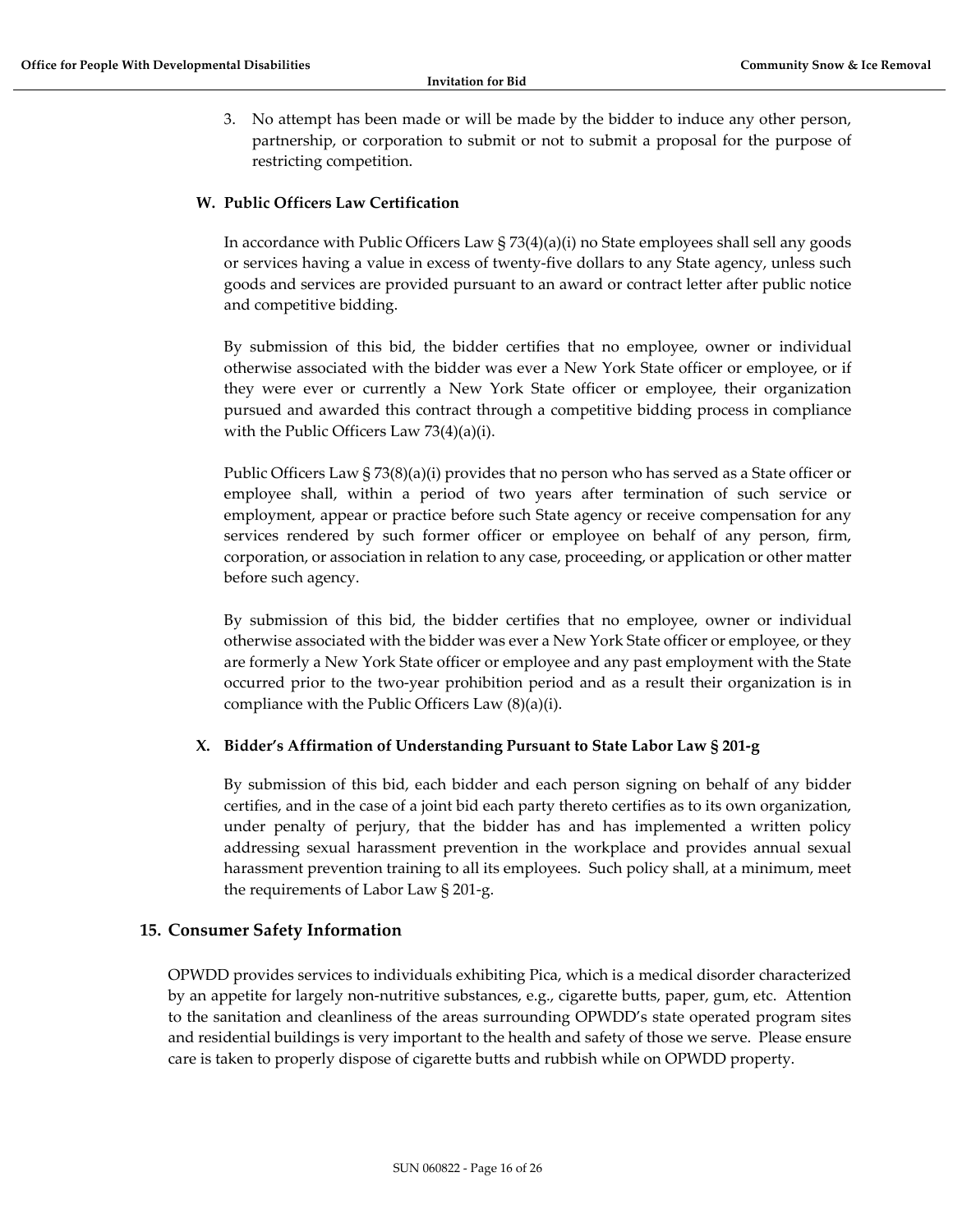3. No attempt has been made or will be made by the bidder to induce any other person, partnership, or corporation to submit or not to submit a proposal for the purpose of restricting competition.

#### <span id="page-15-0"></span>**W. Public Officers Law Certification**

In accordance with Public Officers Law  $\S$  73(4)(a)(i) no State employees shall sell any goods or services having a value in excess of twenty-five dollars to any State agency, unless such goods and services are provided pursuant to an award or contract letter after public notice and competitive bidding.

By submission of this bid, the bidder certifies that no employee, owner or individual otherwise associated with the bidder was ever a New York State officer or employee, or if they were ever or currently a New York State officer or employee, their organization pursued and awarded this contract through a competitive bidding process in compliance with the Public Officers Law 73(4)(a)(i).

Public Officers Law § 73(8)(a)(i) provides that no person who has served as a State officer or employee shall, within a period of two years after termination of such service or employment, appear or practice before such State agency or receive compensation for any services rendered by such former officer or employee on behalf of any person, firm, corporation, or association in relation to any case, proceeding, or application or other matter before such agency.

By submission of this bid, the bidder certifies that no employee, owner or individual otherwise associated with the bidder was ever a New York State officer or employee, or they are formerly a New York State officer or employee and any past employment with the State occurred prior to the two-year prohibition period and as a result their organization is in compliance with the Public Officers Law (8)(a)(i).

#### <span id="page-15-1"></span>**X. Bidder's Affirmation of Understanding Pursuant to State Labor Law § 201-g**

By submission of this bid, each bidder and each person signing on behalf of any bidder certifies, and in the case of a joint bid each party thereto certifies as to its own organization, under penalty of perjury, that the bidder has and has implemented a written policy addressing sexual harassment prevention in the workplace and provides annual sexual harassment prevention training to all its employees. Such policy shall, at a minimum, meet the requirements of Labor Law § 201-g.

# <span id="page-15-2"></span>**15. Consumer Safety Information**

OPWDD provides services to individuals exhibiting Pica, which is a medical disorder characterized by an appetite for largely non-nutritive substances, e.g., cigarette butts, paper, gum, etc. Attention to the sanitation and cleanliness of the areas surrounding OPWDD's state operated program sites and residential buildings is very important to the health and safety of those we serve. Please ensure care is taken to properly dispose of cigarette butts and rubbish while on OPWDD property.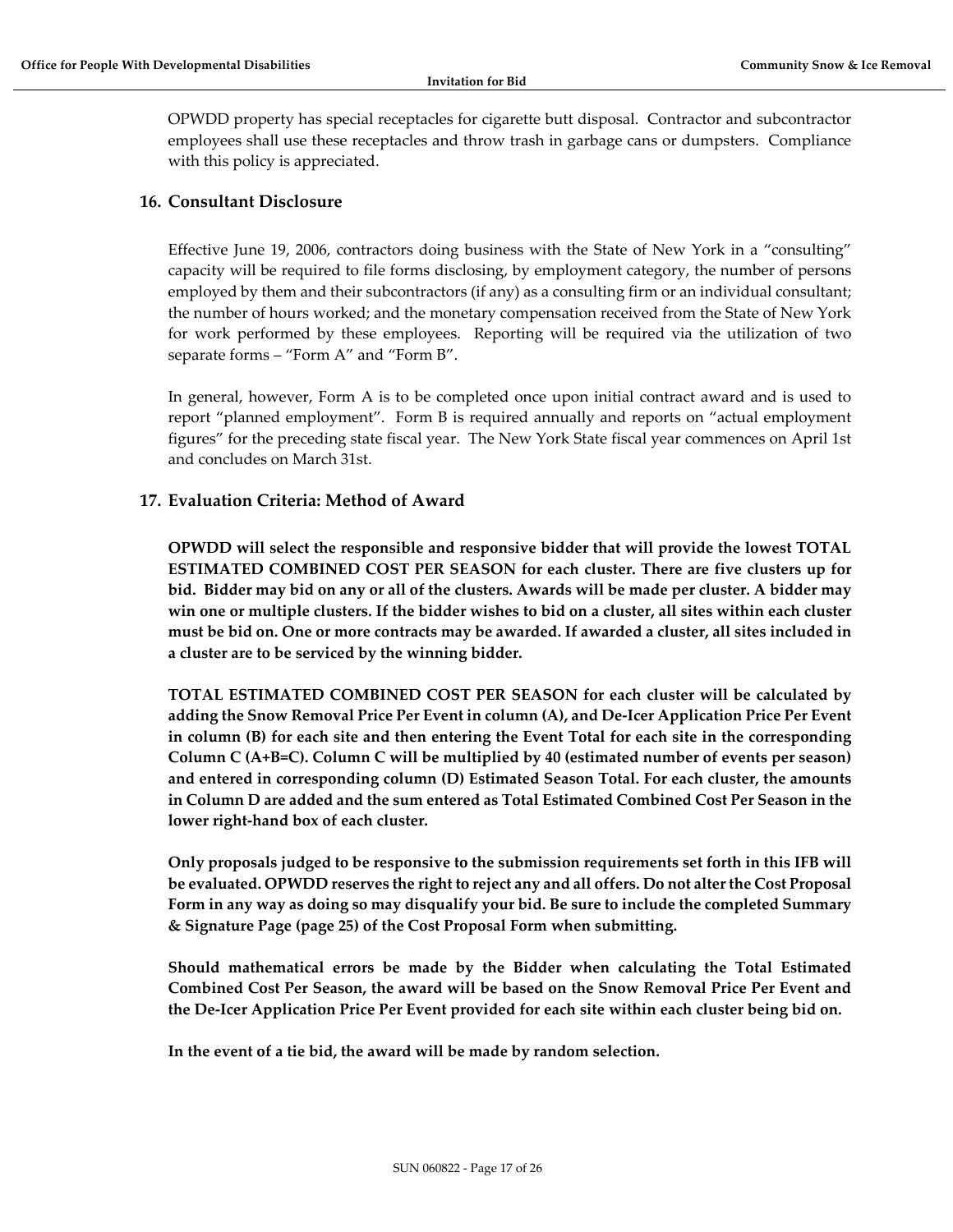OPWDD property has special receptacles for cigarette butt disposal. Contractor and subcontractor employees shall use these receptacles and throw trash in garbage cans or dumpsters. Compliance with this policy is appreciated.

# <span id="page-16-0"></span>**16. Consultant Disclosure**

Effective June 19, 2006, contractors doing business with the State of New York in a "consulting" capacity will be required to file forms disclosing, by employment category, the number of persons employed by them and their subcontractors (if any) as a consulting firm or an individual consultant; the number of hours worked; and the monetary compensation received from the State of New York for work performed by these employees. Reporting will be required via the utilization of two separate forms – "Form A" and "Form B".

In general, however, Form A is to be completed once upon initial contract award and is used to report "planned employment". Form B is required annually and reports on "actual employment figures" for the preceding state fiscal year. The New York State fiscal year commences on April 1st and concludes on March 31st.

# <span id="page-16-1"></span>**17. Evaluation Criteria: Method of Award**

**OPWDD will select the responsible and responsive bidder that will provide the lowest TOTAL ESTIMATED COMBINED COST PER SEASON for each cluster. There are five clusters up for bid. Bidder may bid on any or all of the clusters. Awards will be made per cluster. A bidder may win one or multiple clusters. If the bidder wishes to bid on a cluster, all sites within each cluster must be bid on. One or more contracts may be awarded. If awarded a cluster, all sites included in a cluster are to be serviced by the winning bidder.** 

**TOTAL ESTIMATED COMBINED COST PER SEASON for each cluster will be calculated by adding the Snow Removal Price Per Event in column (A), and De-Icer Application Price Per Event in column (B) for each site and then entering the Event Total for each site in the corresponding Column C (A+B=C). Column C will be multiplied by 40 (estimated number of events per season) and entered in corresponding column (D) Estimated Season Total. For each cluster, the amounts in Column D are added and the sum entered as Total Estimated Combined Cost Per Season in the lower right-hand box of each cluster.** 

**Only proposals judged to be responsive to the submission requirements set forth in this IFB will be evaluated. OPWDD reserves the right to reject any and all offers. Do not alter the Cost Proposal Form in any way as doing so may disqualify your bid. Be sure to include the completed Summary & Signature Page (page 25) of the Cost Proposal Form when submitting.** 

**Should mathematical errors be made by the Bidder when calculating the Total Estimated Combined Cost Per Season, the award will be based on the Snow Removal Price Per Event and the De-Icer Application Price Per Event provided for each site within each cluster being bid on.** 

**In the event of a tie bid, the award will be made by random selection.**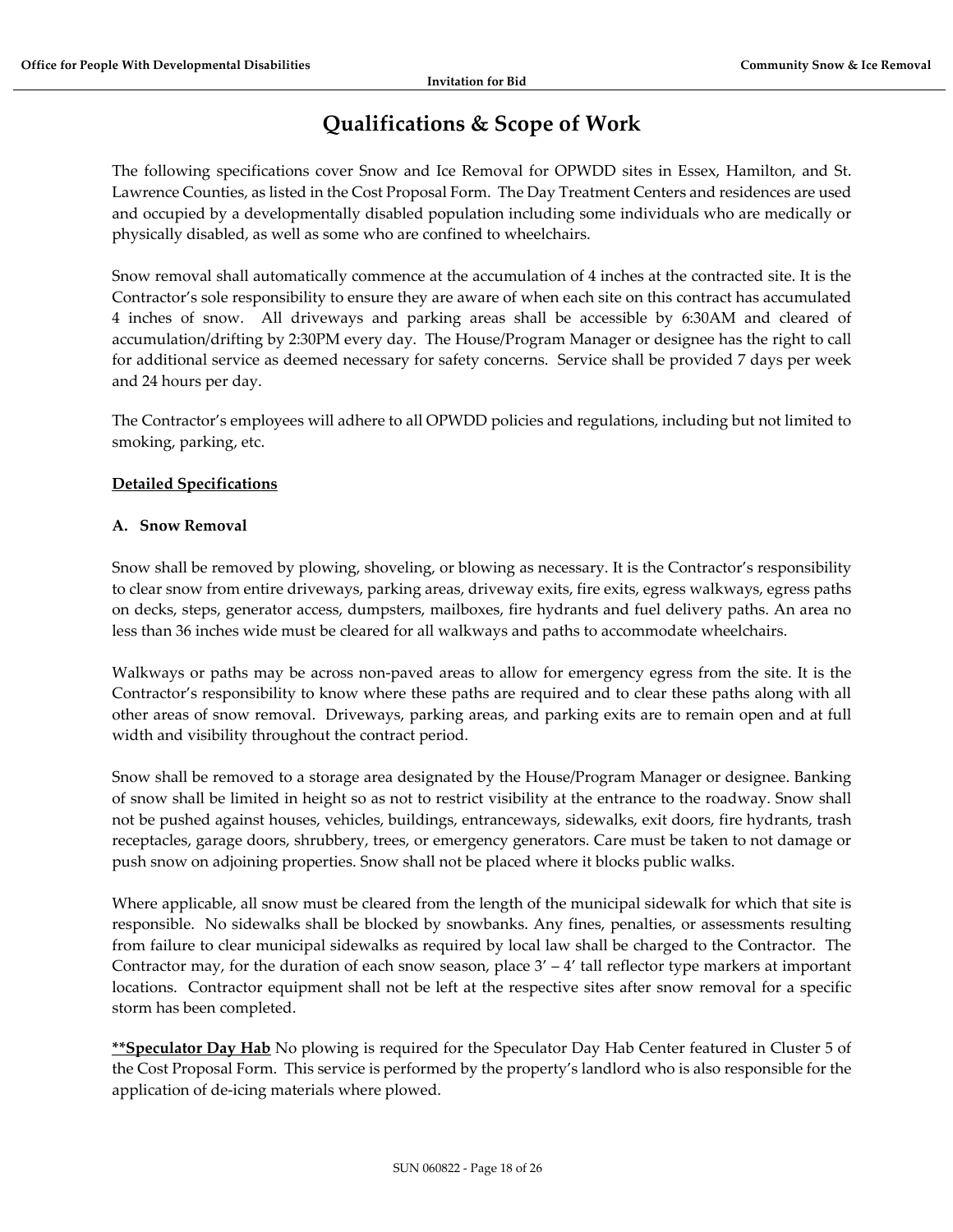# **Qualifications & Scope of Work**

<span id="page-17-0"></span>The following specifications cover Snow and Ice Removal for OPWDD sites in Essex, Hamilton, and St. Lawrence Counties, as listed in the Cost Proposal Form. The Day Treatment Centers and residences are used and occupied by a developmentally disabled population including some individuals who are medically or physically disabled, as well as some who are confined to wheelchairs.

Snow removal shall automatically commence at the accumulation of 4 inches at the contracted site. It is the Contractor's sole responsibility to ensure they are aware of when each site on this contract has accumulated 4 inches of snow. All driveways and parking areas shall be accessible by 6:30AM and cleared of accumulation/drifting by 2:30PM every day. The House/Program Manager or designee has the right to call for additional service as deemed necessary for safety concerns. Service shall be provided 7 days per week and 24 hours per day.

The Contractor's employees will adhere to all OPWDD policies and regulations, including but not limited to smoking, parking, etc.

# **Detailed Specifications**

### **A. Snow Removal**

Snow shall be removed by plowing, shoveling, or blowing as necessary. It is the Contractor's responsibility to clear snow from entire driveways, parking areas, driveway exits, fire exits, egress walkways, egress paths on decks, steps, generator access, dumpsters, mailboxes, fire hydrants and fuel delivery paths. An area no less than 36 inches wide must be cleared for all walkways and paths to accommodate wheelchairs.

Walkways or paths may be across non-paved areas to allow for emergency egress from the site. It is the Contractor's responsibility to know where these paths are required and to clear these paths along with all other areas of snow removal. Driveways, parking areas, and parking exits are to remain open and at full width and visibility throughout the contract period.

Snow shall be removed to a storage area designated by the House/Program Manager or designee. Banking of snow shall be limited in height so as not to restrict visibility at the entrance to the roadway. Snow shall not be pushed against houses, vehicles, buildings, entranceways, sidewalks, exit doors, fire hydrants, trash receptacles, garage doors, shrubbery, trees, or emergency generators. Care must be taken to not damage or push snow on adjoining properties. Snow shall not be placed where it blocks public walks.

Where applicable, all snow must be cleared from the length of the municipal sidewalk for which that site is responsible. No sidewalks shall be blocked by snowbanks. Any fines, penalties, or assessments resulting from failure to clear municipal sidewalks as required by local law shall be charged to the Contractor. The Contractor may, for the duration of each snow season, place  $3' - 4'$  tall reflector type markers at important locations. Contractor equipment shall not be left at the respective sites after snow removal for a specific storm has been completed.

**\*\*Speculator Day Hab** No plowing is required for the Speculator Day Hab Center featured in Cluster 5 of the Cost Proposal Form. This service is performed by the property's landlord who is also responsible for the application of de-icing materials where plowed.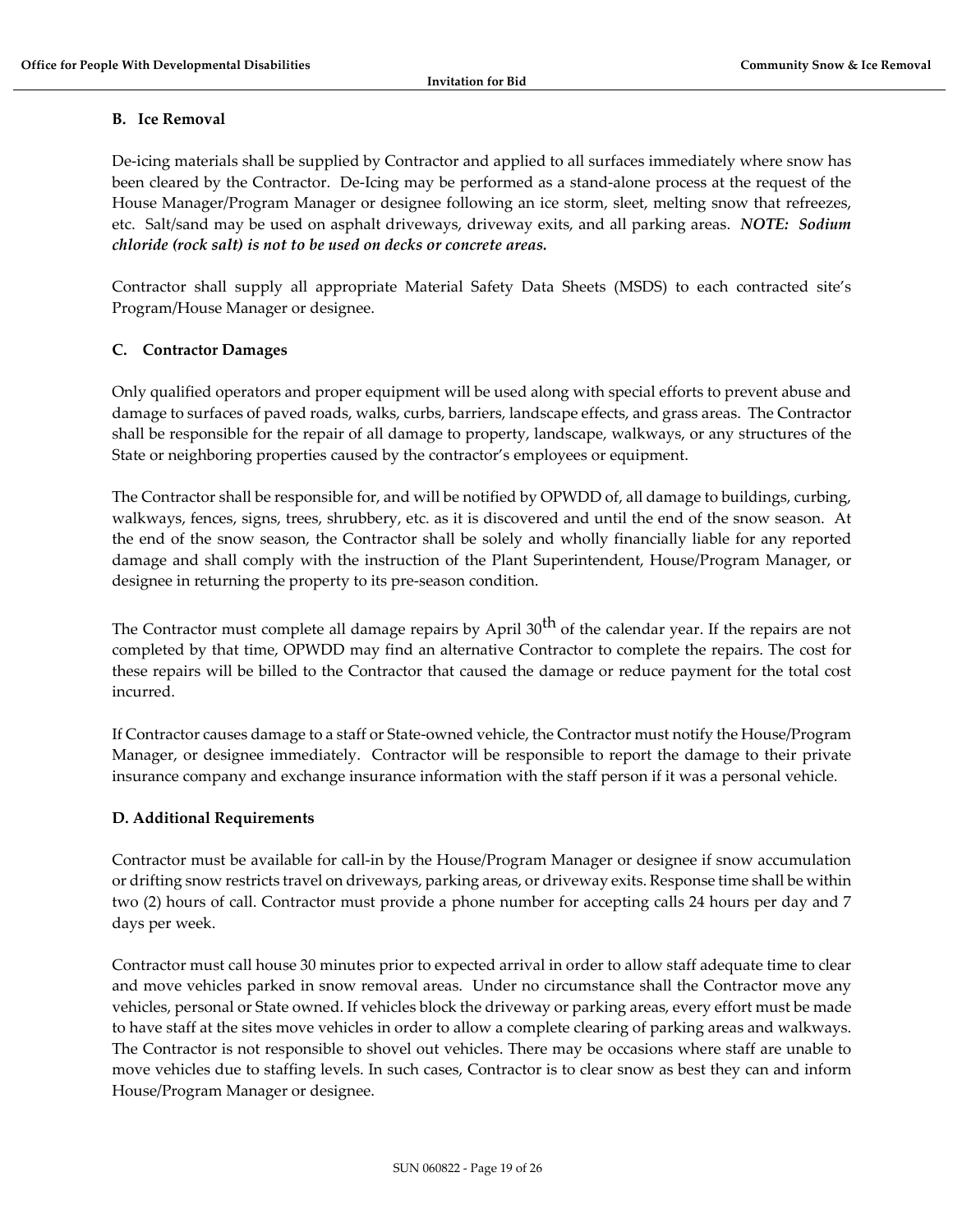## **B. Ice Removal**

De-icing materials shall be supplied by Contractor and applied to all surfaces immediately where snow has been cleared by the Contractor. De-Icing may be performed as a stand-alone process at the request of the House Manager/Program Manager or designee following an ice storm, sleet, melting snow that refreezes, etc. Salt/sand may be used on asphalt driveways, driveway exits, and all parking areas. *NOTE: Sodium chloride (rock salt) is not to be used on decks or concrete areas.* 

Contractor shall supply all appropriate Material Safety Data Sheets (MSDS) to each contracted site's Program/House Manager or designee.

### **C. Contractor Damages**

Only qualified operators and proper equipment will be used along with special efforts to prevent abuse and damage to surfaces of paved roads, walks, curbs, barriers, landscape effects, and grass areas. The Contractor shall be responsible for the repair of all damage to property, landscape, walkways, or any structures of the State or neighboring properties caused by the contractor's employees or equipment.

The Contractor shall be responsible for, and will be notified by OPWDD of, all damage to buildings, curbing, walkways, fences, signs, trees, shrubbery, etc. as it is discovered and until the end of the snow season. At the end of the snow season, the Contractor shall be solely and wholly financially liable for any reported damage and shall comply with the instruction of the Plant Superintendent, House/Program Manager, or designee in returning the property to its pre-season condition.

The Contractor must complete all damage repairs by April 30<sup>th</sup> of the calendar year. If the repairs are not completed by that time, OPWDD may find an alternative Contractor to complete the repairs. The cost for these repairs will be billed to the Contractor that caused the damage or reduce payment for the total cost incurred.

If Contractor causes damage to a staff or State-owned vehicle, the Contractor must notify the House/Program Manager, or designee immediately. Contractor will be responsible to report the damage to their private insurance company and exchange insurance information with the staff person if it was a personal vehicle.

# **D. Additional Requirements**

Contractor must be available for call-in by the House/Program Manager or designee if snow accumulation or drifting snow restricts travel on driveways, parking areas, or driveway exits. Response time shall be within two (2) hours of call. Contractor must provide a phone number for accepting calls 24 hours per day and 7 days per week.

Contractor must call house 30 minutes prior to expected arrival in order to allow staff adequate time to clear and move vehicles parked in snow removal areas. Under no circumstance shall the Contractor move any vehicles, personal or State owned. If vehicles block the driveway or parking areas, every effort must be made to have staff at the sites move vehicles in order to allow a complete clearing of parking areas and walkways. The Contractor is not responsible to shovel out vehicles. There may be occasions where staff are unable to move vehicles due to staffing levels. In such cases, Contractor is to clear snow as best they can and inform House/Program Manager or designee.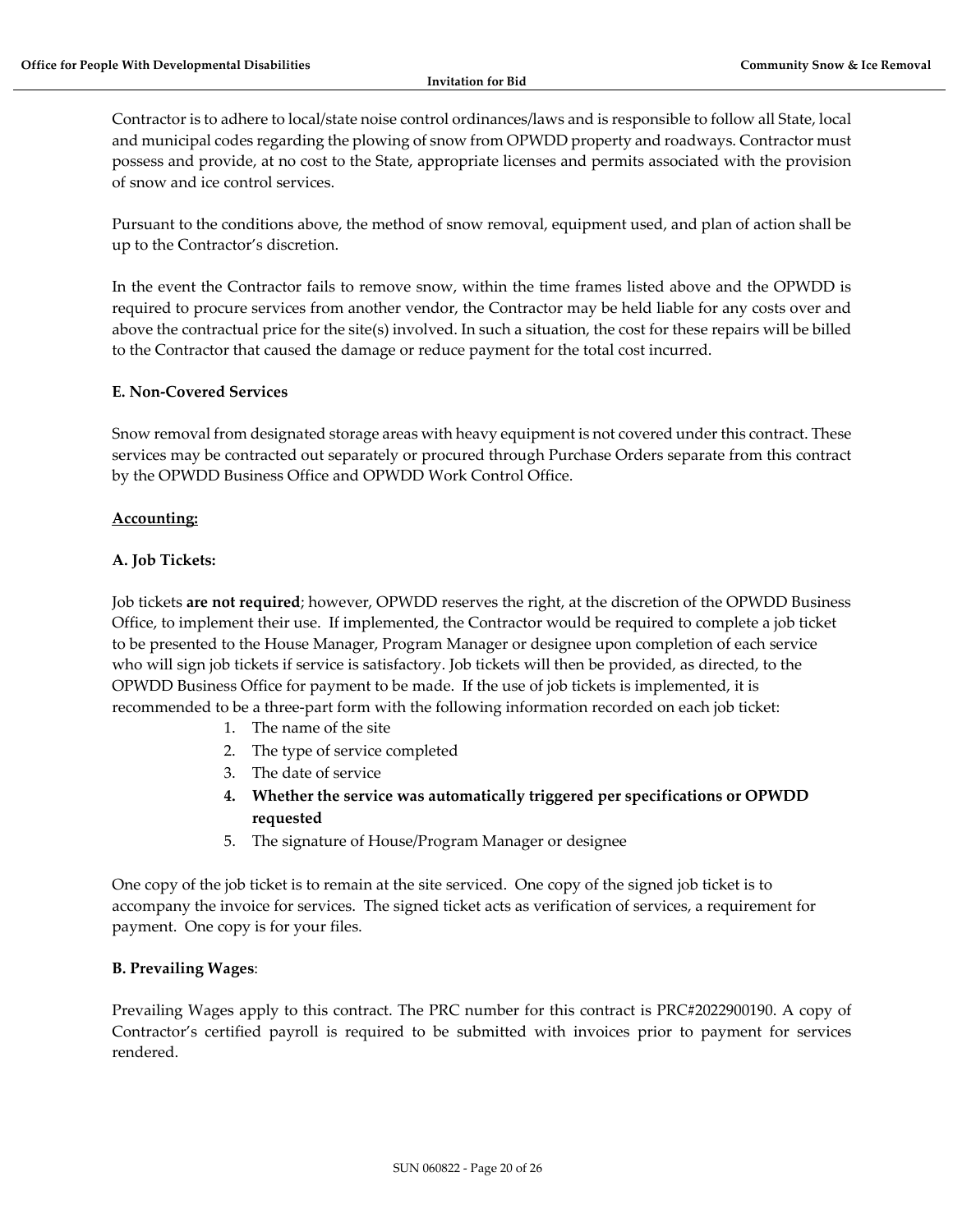Contractor is to adhere to local/state noise control ordinances/laws and is responsible to follow all State, local and municipal codes regarding the plowing of snow from OPWDD property and roadways. Contractor must possess and provide, at no cost to the State, appropriate licenses and permits associated with the provision of snow and ice control services.

Pursuant to the conditions above, the method of snow removal, equipment used, and plan of action shall be up to the Contractor's discretion.

In the event the Contractor fails to remove snow, within the time frames listed above and the OPWDD is required to procure services from another vendor, the Contractor may be held liable for any costs over and above the contractual price for the site(s) involved. In such a situation, the cost for these repairs will be billed to the Contractor that caused the damage or reduce payment for the total cost incurred.

### **E. Non-Covered Services**

Snow removal from designated storage areas with heavy equipment is not covered under this contract. These services may be contracted out separately or procured through Purchase Orders separate from this contract by the OPWDD Business Office and OPWDD Work Control Office.

### **Accounting:**

### **A. Job Tickets:**

Job tickets **are not required**; however, OPWDD reserves the right, at the discretion of the OPWDD Business Office, to implement their use. If implemented, the Contractor would be required to complete a job ticket to be presented to the House Manager, Program Manager or designee upon completion of each service who will sign job tickets if service is satisfactory. Job tickets will then be provided, as directed, to the OPWDD Business Office for payment to be made. If the use of job tickets is implemented, it is recommended to be a three-part form with the following information recorded on each job ticket:

- 1. The name of the site
- 2. The type of service completed
- 3. The date of service
- **4. Whether the service was automatically triggered per specifications or OPWDD requested**
- 5. The signature of House/Program Manager or designee

One copy of the job ticket is to remain at the site serviced. One copy of the signed job ticket is to accompany the invoice for services. The signed ticket acts as verification of services, a requirement for payment. One copy is for your files.

#### **B. Prevailing Wages**:

Prevailing Wages apply to this contract. The PRC number for this contract is PRC#2022900190. A copy of Contractor's certified payroll is required to be submitted with invoices prior to payment for services rendered.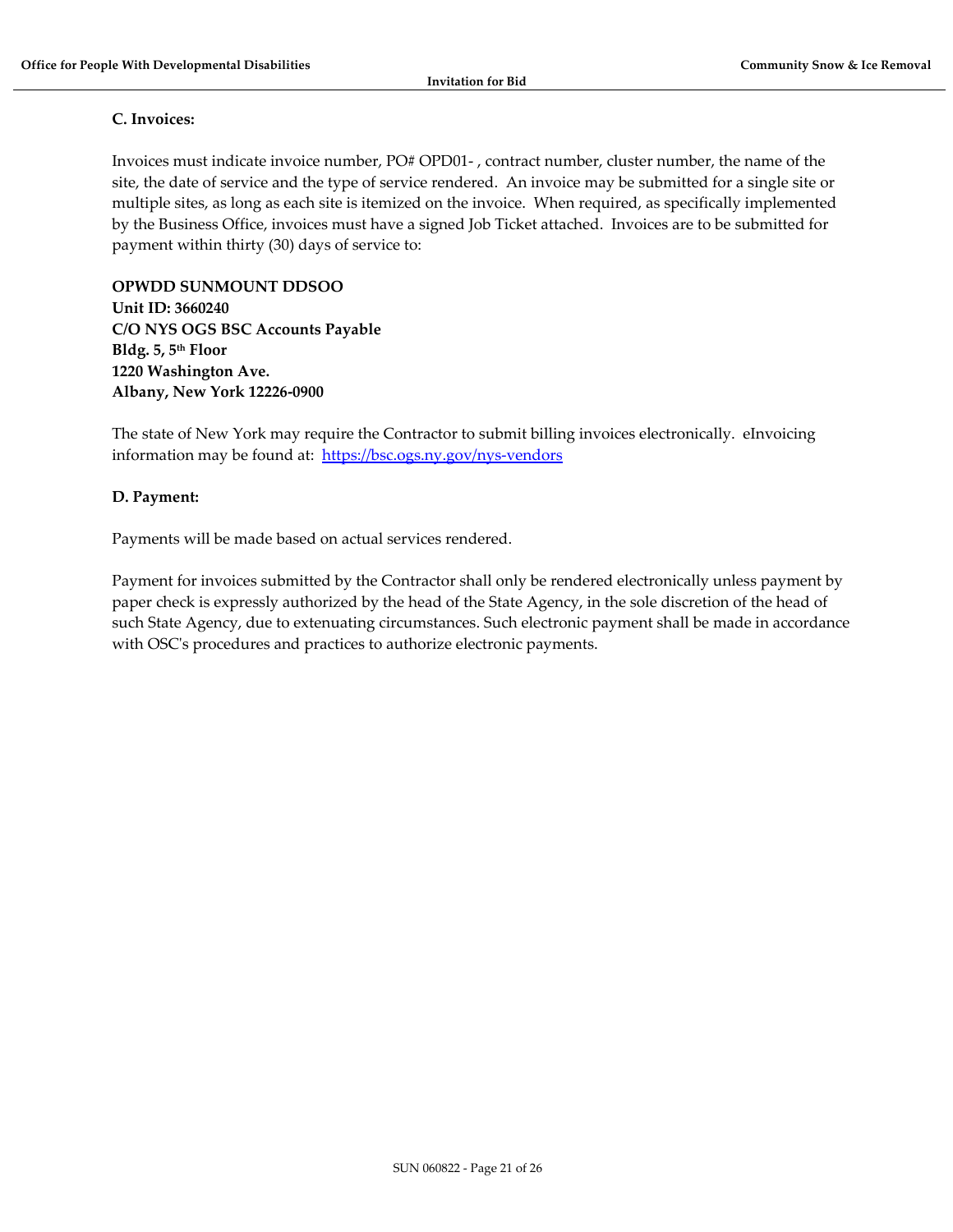## **C. Invoices:**

Invoices must indicate invoice number, PO# OPD01- , contract number, cluster number, the name of the site, the date of service and the type of service rendered. An invoice may be submitted for a single site or multiple sites, as long as each site is itemized on the invoice. When required, as specifically implemented by the Business Office, invoices must have a signed Job Ticket attached. Invoices are to be submitted for payment within thirty (30) days of service to:

**OPWDD SUNMOUNT DDSOO Unit ID: 3660240 C/O NYS OGS BSC Accounts Payable Bldg. 5, 5th Floor 1220 Washington Ave. Albany, New York 12226-0900**

The state of New York may require the Contractor to submit billing invoices electronically. eInvoicing information may be found at: <https://bsc.ogs.ny.gov/nys-vendors>

# **D. Payment:**

Payments will be made based on actual services rendered.

Payment for invoices submitted by the Contractor shall only be rendered electronically unless payment by paper check is expressly authorized by the head of the State Agency, in the sole discretion of the head of such State Agency, due to extenuating circumstances. Such electronic payment shall be made in accordance with OSC's procedures and practices to authorize electronic payments.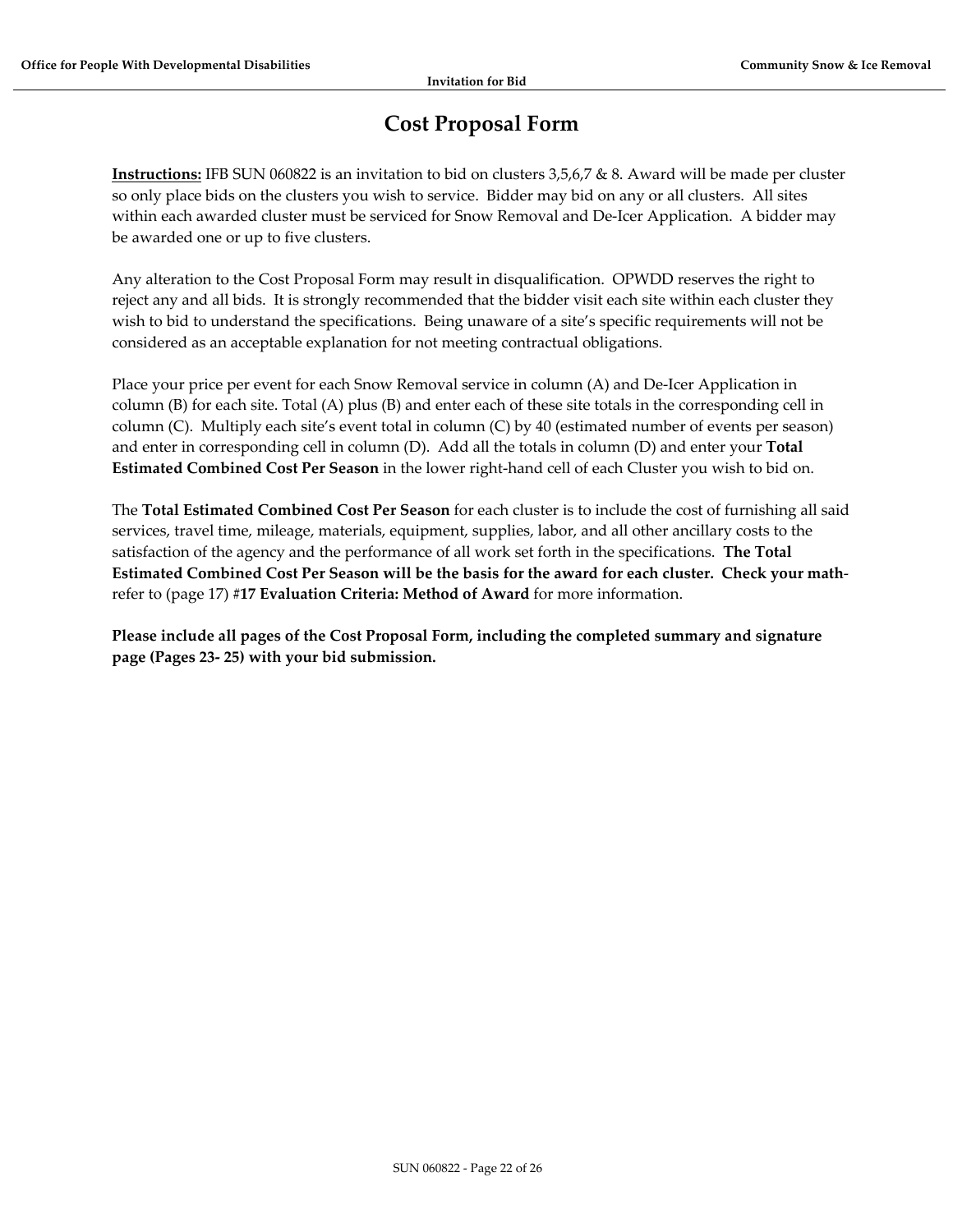# **Cost Proposal Form**

<span id="page-21-0"></span>**Instructions:** IFB SUN 060822 is an invitation to bid on clusters 3,5,6,7 & 8. Award will be made per cluster so only place bids on the clusters you wish to service. Bidder may bid on any or all clusters. All sites within each awarded cluster must be serviced for Snow Removal and De-Icer Application. A bidder may be awarded one or up to five clusters.

Any alteration to the Cost Proposal Form may result in disqualification. OPWDD reserves the right to reject any and all bids. It is strongly recommended that the bidder visit each site within each cluster they wish to bid to understand the specifications. Being unaware of a site's specific requirements will not be considered as an acceptable explanation for not meeting contractual obligations.

Place your price per event for each Snow Removal service in column (A) and De-Icer Application in column (B) for each site. Total (A) plus (B) and enter each of these site totals in the corresponding cell in column (C). Multiply each site's event total in column (C) by 40 (estimated number of events per season) and enter in corresponding cell in column (D). Add all the totals in column (D) and enter your **Total Estimated Combined Cost Per Season** in the lower right-hand cell of each Cluster you wish to bid on.

The **Total Estimated Combined Cost Per Season** for each cluster is to include the cost of furnishing all said services, travel time, mileage, materials, equipment, supplies, labor, and all other ancillary costs to the satisfaction of the agency and the performance of all work set forth in the specifications. **The Total Estimated Combined Cost Per Season will be the basis for the award for each cluster. Check your math**refer to (page 17) **#17 Evaluation Criteria: Method of Award** for more information.

**Please include all pages of the Cost Proposal Form, including the completed summary and signature page (Pages 23- 25) with your bid submission.**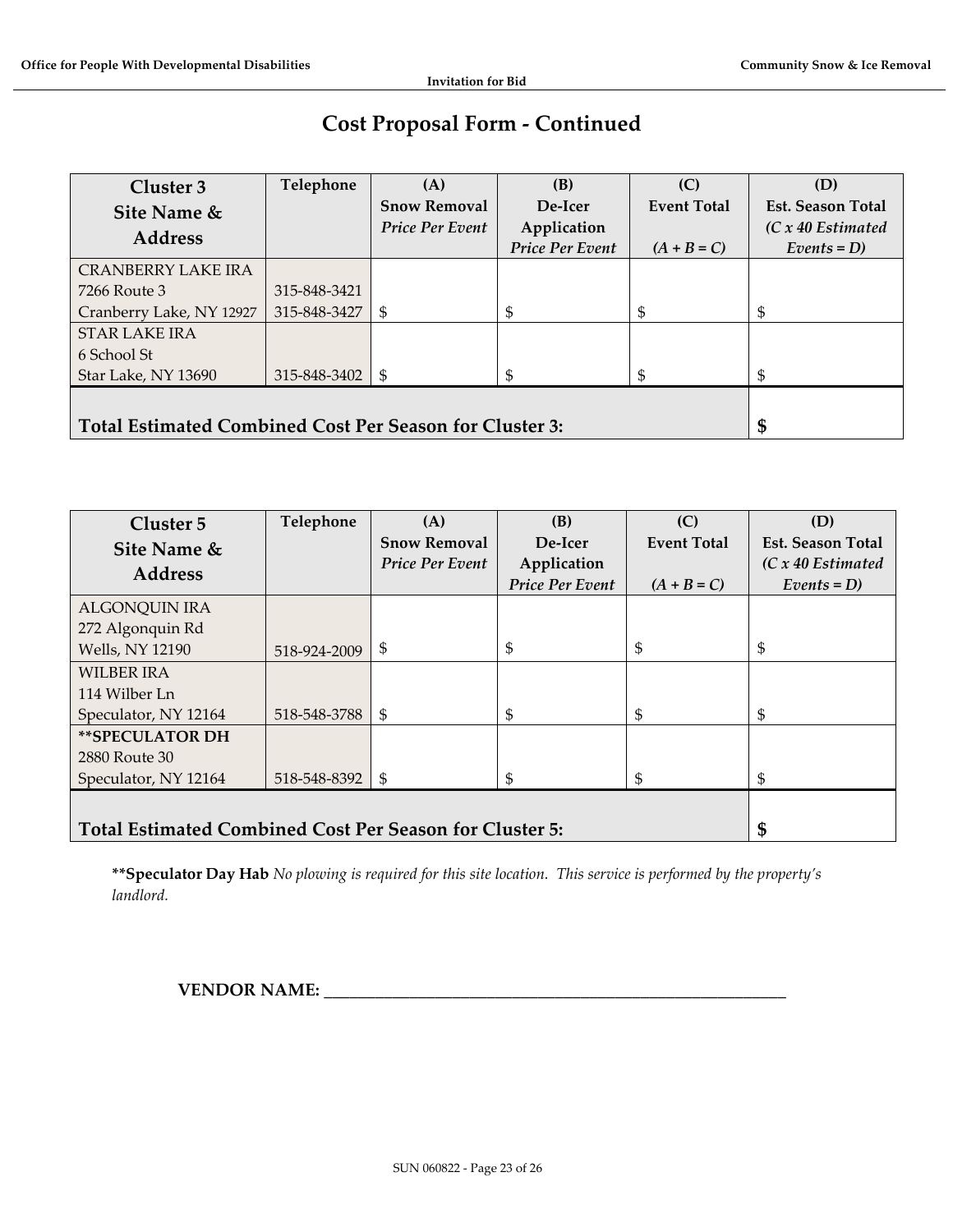# **Cost Proposal Form - Continued**

| Cluster 3                                                      | Telephone    | (A)                    | (B)                    | (C)                | (D)                      |
|----------------------------------------------------------------|--------------|------------------------|------------------------|--------------------|--------------------------|
| Site Name &                                                    |              | <b>Snow Removal</b>    | De-Icer                | <b>Event Total</b> | <b>Est. Season Total</b> |
| <b>Address</b>                                                 |              | <b>Price Per Event</b> | Application            |                    | $(C x 40$ Estimated      |
|                                                                |              |                        | <b>Price Per Event</b> | $(A + B = C)$      | $Events = D$             |
| <b>CRANBERRY LAKE IRA</b>                                      |              |                        |                        |                    |                          |
| 7266 Route 3                                                   | 315-848-3421 |                        |                        |                    |                          |
| Cranberry Lake, NY 12927                                       | 315-848-3427 | S                      | \$                     | \$                 | \$                       |
| <b>STAR LAKE IRA</b>                                           |              |                        |                        |                    |                          |
| 6 School St                                                    |              |                        |                        |                    |                          |
| Star Lake, NY 13690                                            | 315-848-3402 | \$                     |                        |                    | \$                       |
|                                                                |              |                        |                        |                    |                          |
| <b>Total Estimated Combined Cost Per Season for Cluster 3:</b> |              |                        |                        |                    | \$                       |

| Cluster 5                                               | Telephone    | (A)                    | (B)                    | (C)                | (D)                      |
|---------------------------------------------------------|--------------|------------------------|------------------------|--------------------|--------------------------|
| Site Name &                                             |              | <b>Snow Removal</b>    | De-Icer                | <b>Event Total</b> | <b>Est. Season Total</b> |
| <b>Address</b>                                          |              | <b>Price Per Event</b> | Application            |                    | $(C x 40$ Estimated      |
|                                                         |              |                        | <b>Price Per Event</b> | $(A + B = C)$      | $Events = D$             |
| <b>ALGONQUIN IRA</b>                                    |              |                        |                        |                    |                          |
| 272 Algonquin Rd                                        |              |                        |                        |                    |                          |
| <b>Wells, NY 12190</b>                                  | 518-924-2009 | \$                     | S                      | \$                 | \$                       |
| <b>WILBER IRA</b>                                       |              |                        |                        |                    |                          |
| 114 Wilber Ln                                           |              |                        |                        |                    |                          |
| Speculator, NY 12164                                    | 518-548-3788 | \$                     |                        |                    | \$                       |
| **SPECULATOR DH                                         |              |                        |                        |                    |                          |
| 2880 Route 30                                           |              |                        |                        |                    |                          |
| Speculator, NY 12164                                    | 518-548-8392 | \$                     |                        | \$                 | \$                       |
|                                                         |              |                        |                        |                    |                          |
| Total Estimated Combined Cost Per Season for Cluster 5: |              |                        |                        |                    | \$                       |

**\*\*Speculator Day Hab** *No plowing is required for this site location. This service is performed by the property's landlord.*

**VENDOR NAME: \_\_\_\_\_\_\_\_\_\_\_\_\_\_\_\_\_\_\_\_\_\_\_\_\_\_\_\_\_\_\_\_\_\_\_\_\_\_\_\_\_\_\_\_\_\_\_\_\_\_\_\_\_\_**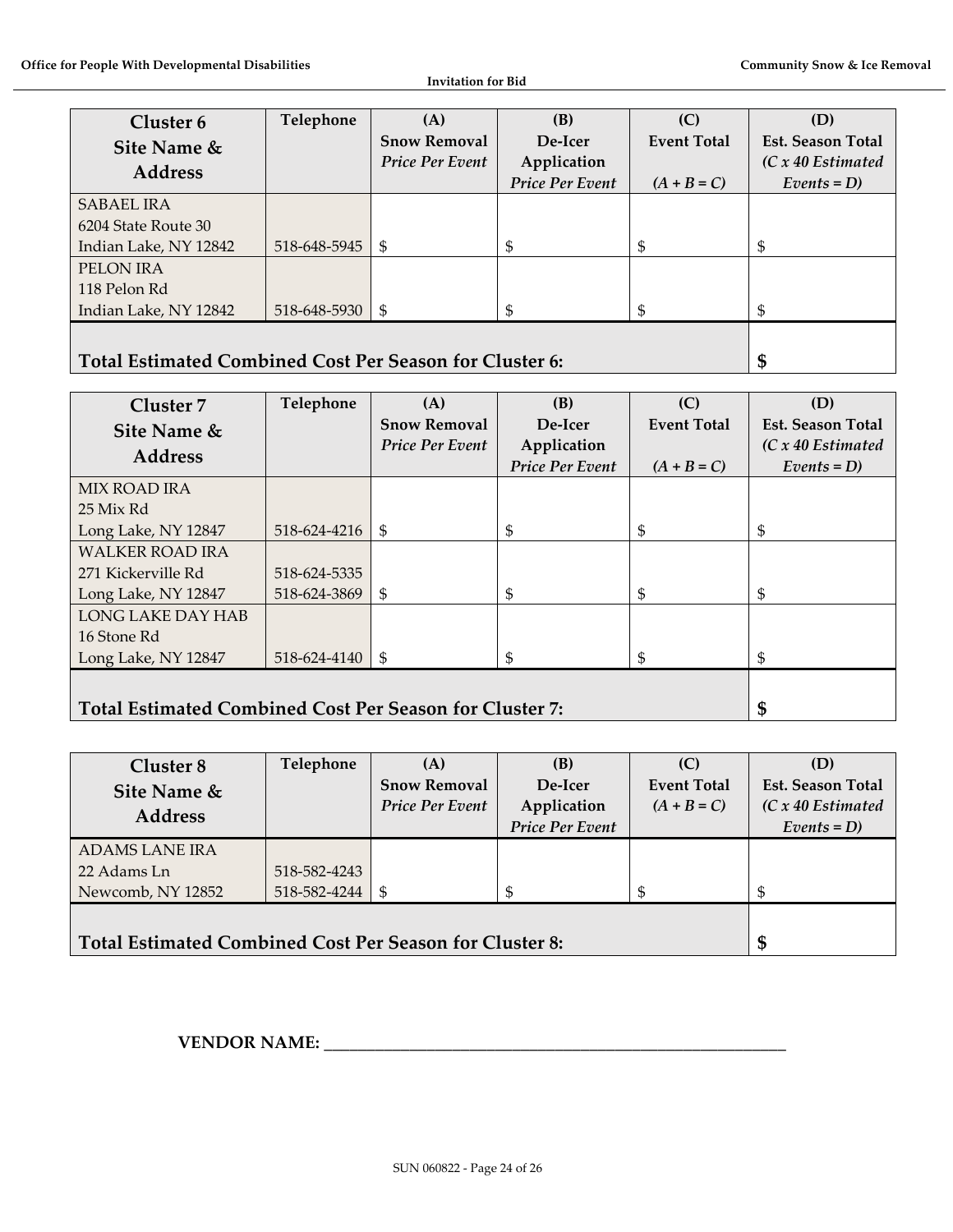**Invitation for Bid**

| Cluster 6                                                      | Telephone    | (A)                    | (B)             | (C)                | (D)                      |
|----------------------------------------------------------------|--------------|------------------------|-----------------|--------------------|--------------------------|
| Site Name &                                                    |              | <b>Snow Removal</b>    | De-Icer         | <b>Event Total</b> | <b>Est. Season Total</b> |
| <b>Address</b>                                                 |              | <b>Price Per Event</b> | Application     |                    | $(C x 40$ Estimated      |
|                                                                |              |                        | Price Per Event | $(A + B = C)$      | $Events = D$             |
| <b>SABAEL IRA</b>                                              |              |                        |                 |                    |                          |
| 6204 State Route 30                                            |              |                        |                 |                    |                          |
| Indian Lake, NY 12842                                          | 518-648-5945 | \$                     | \$              |                    | \$                       |
| PELON IRA                                                      |              |                        |                 |                    |                          |
| 118 Pelon Rd                                                   |              |                        |                 |                    |                          |
| Indian Lake, NY 12842                                          | 518-648-5930 | \$                     |                 |                    | \$                       |
|                                                                |              |                        |                 |                    |                          |
| <b>Total Estimated Combined Cost Per Season for Cluster 6:</b> |              |                        |                 |                    | \$                       |

| Cluster 7                                               | Telephone    | (A)                    | (B)                    | (C)                | (D)                      |
|---------------------------------------------------------|--------------|------------------------|------------------------|--------------------|--------------------------|
| Site Name &                                             |              | <b>Snow Removal</b>    | De-Icer                | <b>Event Total</b> | <b>Est. Season Total</b> |
| <b>Address</b>                                          |              | <b>Price Per Event</b> | Application            |                    | $(C x 40$ Estimated      |
|                                                         |              |                        | <b>Price Per Event</b> | $(A + B = C)$      | $Events = D$             |
| <b>MIX ROAD IRA</b>                                     |              |                        |                        |                    |                          |
| 25 Mix Rd                                               |              |                        |                        |                    |                          |
| Long Lake, NY 12847                                     | 518-624-4216 | \$                     | \$                     | \$                 | \$                       |
| <b>WALKER ROAD IRA</b>                                  |              |                        |                        |                    |                          |
| 271 Kickerville Rd                                      | 518-624-5335 |                        |                        |                    |                          |
| Long Lake, NY 12847                                     | 518-624-3869 | \$                     | \$                     | \$                 | \$                       |
| LONG LAKE DAY HAB                                       |              |                        |                        |                    |                          |
| 16 Stone Rd                                             |              |                        |                        |                    |                          |
| Long Lake, NY 12847                                     | 518-624-4140 | \$                     | \$                     | \$                 | \$                       |
|                                                         |              |                        |                        |                    |                          |
| Total Estimated Combined Cost Per Season for Cluster 7: |              |                        |                        |                    | \$                       |

| Cluster 8                                                      | Telephone    | (A)                    | (B)                    | (C)                | (D)                      |
|----------------------------------------------------------------|--------------|------------------------|------------------------|--------------------|--------------------------|
| Site Name &                                                    |              | <b>Snow Removal</b>    | De-Icer                | <b>Event Total</b> | <b>Est. Season Total</b> |
| <b>Address</b>                                                 |              | <b>Price Per Event</b> | Application            | $(A + B = C)$      | $(C x 40$ Estimated      |
|                                                                |              |                        | <b>Price Per Event</b> |                    | $Events = D$             |
| <b>ADAMS LANE IRA</b>                                          |              |                        |                        |                    |                          |
| 22 Adams Ln                                                    | 518-582-4243 |                        |                        |                    |                          |
| Newcomb, NY 12852                                              | 518-582-4244 | \$                     |                        |                    |                          |
|                                                                |              |                        |                        |                    |                          |
| <b>Total Estimated Combined Cost Per Season for Cluster 8:</b> |              |                        |                        |                    | \$                       |

**VENDOR NAME: \_\_\_\_\_\_\_\_\_\_\_\_\_\_\_\_\_\_\_\_\_\_\_\_\_\_\_\_\_\_\_\_\_\_\_\_\_\_\_\_\_\_\_\_\_\_\_\_\_\_\_\_\_\_**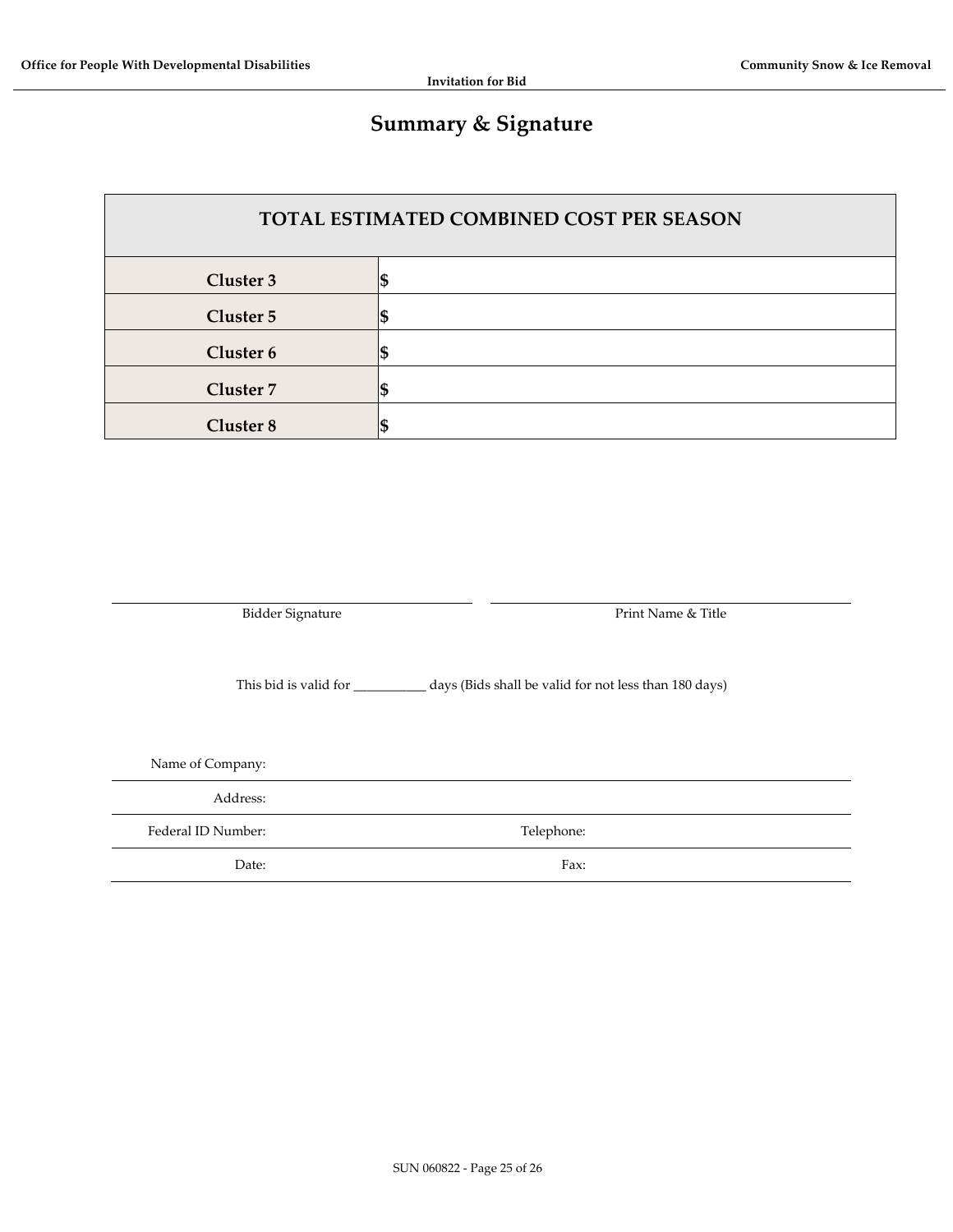# **Summary & Signature**

| <b>TOTAL ESTIMATED COMBINED COST PER SEASON</b> |  |  |  |  |
|-------------------------------------------------|--|--|--|--|
| Cluster 3                                       |  |  |  |  |
| Cluster 5                                       |  |  |  |  |
| Cluster 6                                       |  |  |  |  |
| Cluster 7                                       |  |  |  |  |
| Cluster 8                                       |  |  |  |  |

Bidder Signature **Print Name & Title** 

This bid is valid for \_\_\_\_\_\_\_\_\_\_\_ days (Bids shall be valid for not less than 180 days)

Name of Company:

Address:

Federal ID Number: Telephone:

Date: Fax: